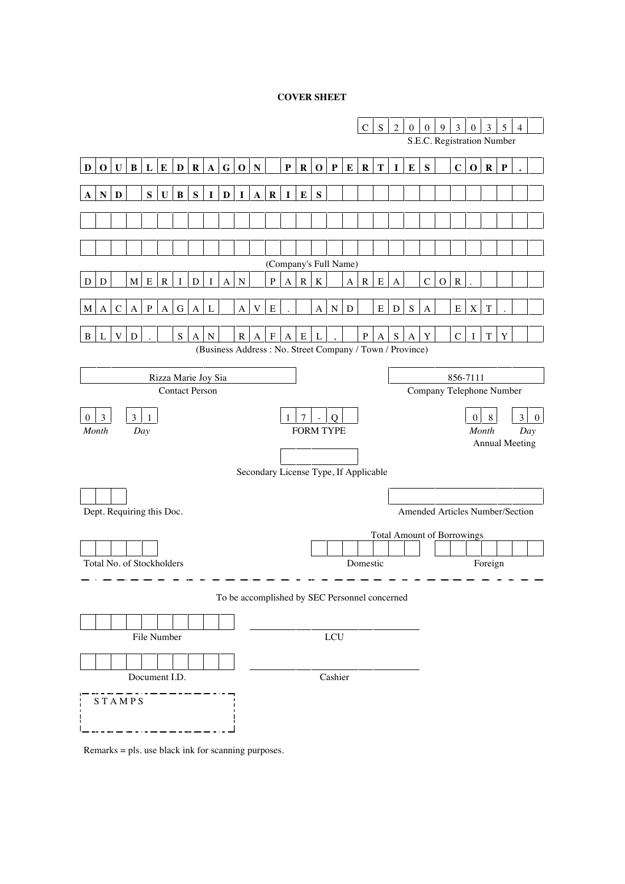### **COVER SHEET**



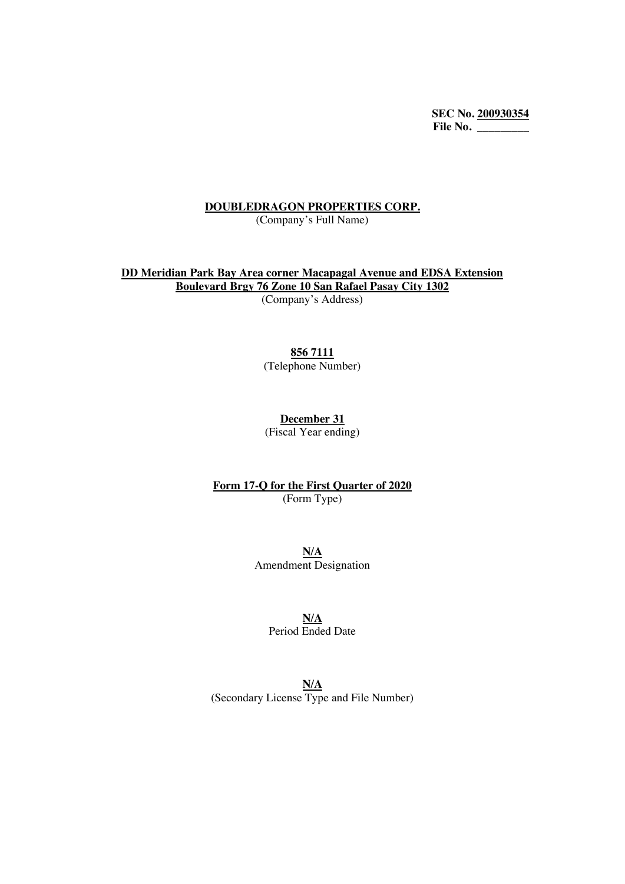**SEC No. 200930354 File No. \_\_\_\_\_\_\_\_\_**

#### **DOUBLEDRAGON PROPERTIES CORP.**

(Company's Full Name)

**DD Meridian Park Bay Area corner Macapagal Avenue and EDSA Extension Boulevard Brgy 76 Zone 10 San Rafael Pasay City 1302** (Company's Address)

## **856 7111**

(Telephone Number)

**December 31**

(Fiscal Year ending)

**Form 17-Q for the First Quarter of 2020** (Form Type)

> **N/A** Amendment Designation

> > **N/A**

Period Ended Date

**N/A** (Secondary License Type and File Number)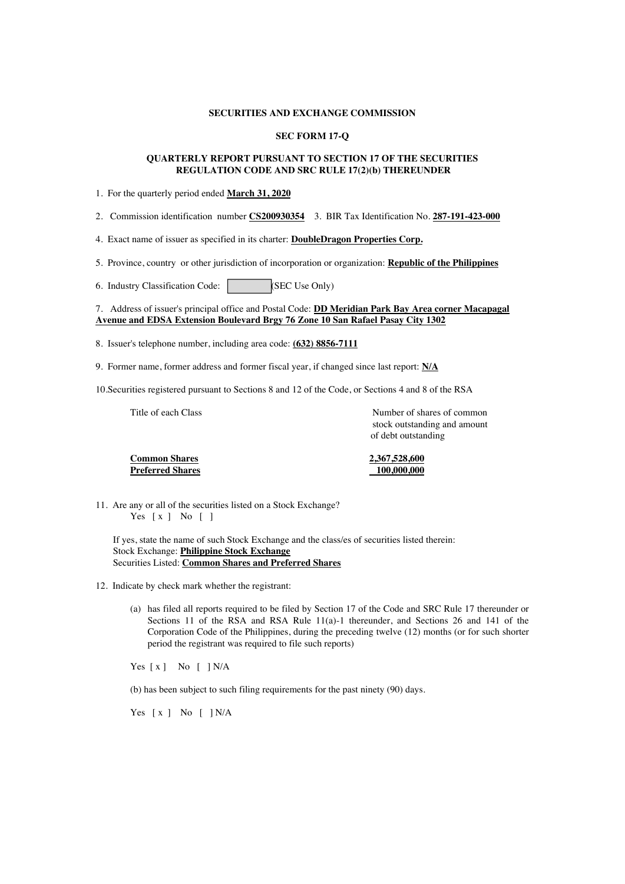#### **SECURITIES AND EXCHANGE COMMISSION**

#### **SEC FORM 17-Q**

#### **QUARTERLY REPORT PURSUANT TO SECTION 17 OF THE SECURITIES REGULATION CODE AND SRC RULE 17(2)(b) THEREUNDER**

- 1. For the quarterly period ended **March 31, 2020**
- 2. Commission identification number **CS200930354** 3. BIR Tax Identification No. **287-191-423-000**

4. Exact name of issuer as specified in its charter: **DoubleDragon Properties Corp.**

5. Province, country or other jurisdiction of incorporation or organization: **Republic of the Philippines**

6. Industry Classification Code: (SEC Use Only)

7. Address of issuer's principal office and Postal Code: **DD Meridian Park Bay Area corner Macapagal Avenue and EDSA Extension Boulevard Brgy 76 Zone 10 San Rafael Pasay City 1302**

8. Issuer's telephone number, including area code: **(632) 8856-7111**

9. Former name, former address and former fiscal year, if changed since last report: **N/A**

10.Securities registered pursuant to Sections 8 and 12 of the Code, or Sections 4 and 8 of the RSA

Title of each Class Title of each Class Number of shares of common stock outstanding and amount of debt outstanding

| <b>Common Shares</b>    | 2,367,528,600 |
|-------------------------|---------------|
| <b>Preferred Shares</b> | 100,000,000   |

11. Are any or all of the securities listed on a Stock Exchange? Yes [ x ] No [ ]

If yes, state the name of such Stock Exchange and the class/es of securities listed therein: Stock Exchange: **Philippine Stock Exchange** Securities Listed: **Common Shares and Preferred Shares**

12. Indicate by check mark whether the registrant:

(a) has filed all reports required to be filed by Section 17 of the Code and SRC Rule 17 thereunder or Sections 11 of the RSA and RSA Rule 11(a)-1 thereunder, and Sections 26 and 141 of the Corporation Code of the Philippines, during the preceding twelve (12) months (or for such shorter period the registrant was required to file such reports)

Yes  $[x]$  No  $[$   $]$  N/A

(b) has been subject to such filing requirements for the past ninety (90) days.

Yes  $[x]$  No  $[$   $]$  N/A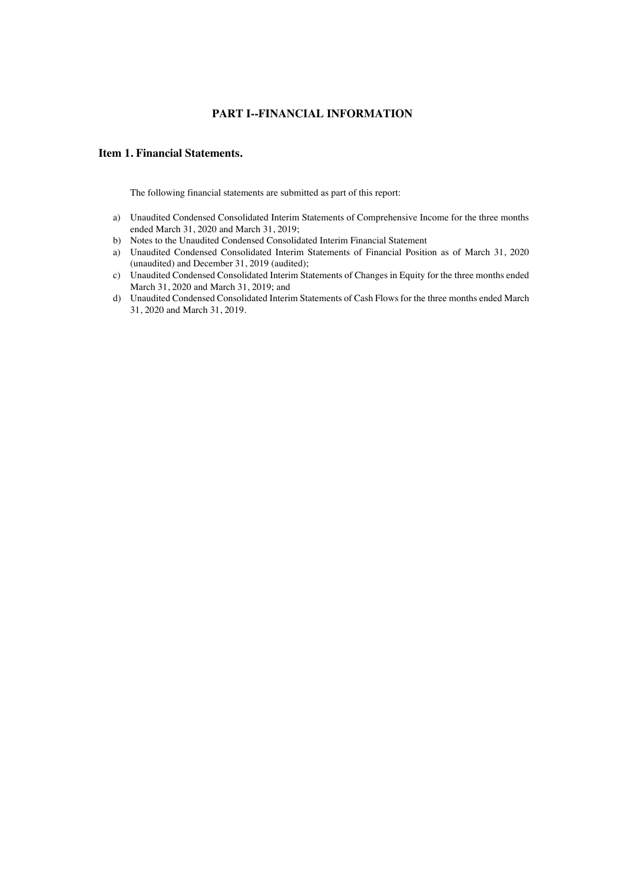## **PART I--FINANCIAL INFORMATION**

#### **Item 1. Financial Statements.**

The following financial statements are submitted as part of this report:

- a) Unaudited Condensed Consolidated Interim Statements of Comprehensive Income for the three months ended March 31, 2020 and March 31, 2019;
- b) Notes to the Unaudited Condensed Consolidated Interim Financial Statement
- a) Unaudited Condensed Consolidated Interim Statements of Financial Position as of March 31, 2020 (unaudited) and December 31, 2019 (audited);
- c) Unaudited Condensed Consolidated Interim Statements of Changes in Equity for the three months ended March 31, 2020 and March 31, 2019; and
- d) Unaudited Condensed Consolidated Interim Statements of Cash Flows for the three months ended March 31, 2020 and March 31, 2019.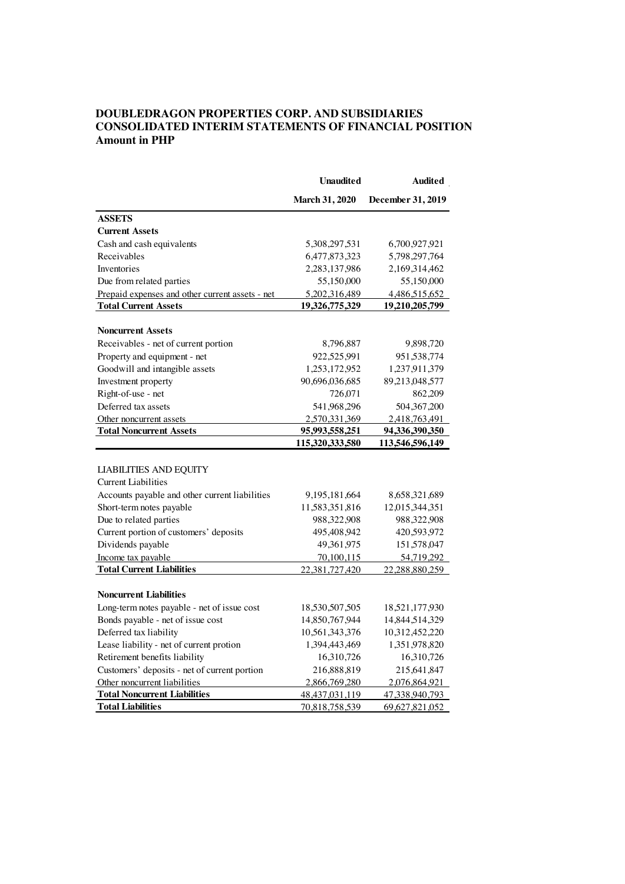## **DOUBLEDRAGON PROPERTIES CORP. AND SUBSIDIARIES CONSOLIDATED INTERIM STATEMENTS OF FINANCIAL POSITION Amount in PHP**

|                                                 | <b>Unaudited</b>      | Audited           |
|-------------------------------------------------|-----------------------|-------------------|
|                                                 | <b>March 31, 2020</b> | December 31, 2019 |
| <b>ASSETS</b>                                   |                       |                   |
| <b>Current Assets</b>                           |                       |                   |
| Cash and cash equivalents                       | 5,308,297,531         | 6,700,927,921     |
| Receivables                                     | 6,477,873,323         | 5,798,297,764     |
| Inventories                                     | 2,283,137,986         | 2,169,314,462     |
| Due from related parties                        | 55,150,000            | 55,150,000        |
| Prepaid expenses and other current assets - net | 5,202,316,489         | 4,486,515,652     |
| <b>Total Current Assets</b>                     | 19,326,775,329        | 19,210,205,799    |
|                                                 |                       |                   |
| <b>Noncurrent Assets</b>                        |                       |                   |
| Receivables - net of current portion            | 8,796,887             | 9,898,720         |
| Property and equipment - net                    | 922,525,991           | 951, 538, 774     |
| Goodwill and intangible assets                  | 1,253,172,952         | 1,237,911,379     |
| Investment property                             | 90,696,036,685        | 89,213,048,577    |
| Right-of-use - net                              | 726,071               | 862,209           |
| Deferred tax assets                             | 541,968,296           | 504, 367, 200     |
| Other noncurrent assets                         | 2,570,331,369         | 2,418,763,491     |
| <b>Total Noncurrent Assets</b>                  | 95,993,558,251        | 94,336,390,350    |
|                                                 | 115,320,333,580       | 113,546,596,149   |
|                                                 |                       |                   |
| <b>LIABILITIES AND EQUITY</b>                   |                       |                   |
| <b>Current Liabilities</b>                      |                       |                   |
| Accounts payable and other current liabilities  | 9, 195, 181, 664      | 8,658,321,689     |
| Short-term notes payable                        | 11,583,351,816        | 12,015,344,351    |
| Due to related parties                          | 988, 322, 908         | 988,322,908       |
| Current portion of customers' deposits          | 495,408,942           | 420,593,972       |
| Dividends payable                               | 49,361,975            | 151,578,047       |
| Income tax payable                              | <u>70,100,115</u>     | <u>54,719,292</u> |
| <b>Total Current Liabilities</b>                | 22,381,727,420        | 22,288,880,259    |
|                                                 |                       |                   |
| <b>Noncurrent Liabilities</b>                   |                       |                   |
| Long-term notes payable - net of issue cost     | 18,530,507,505        | 18,521,177,930    |
| Bonds payable - net of issue cost               | 14,850,767,944        | 14,844,514,329    |
| Deferred tax liability                          | 10,561,343,376        | 10,312,452,220    |
| Lease liability - net of current protion        | 1,394,443,469         | 1,351,978,820     |
| Retirement benefits liability                   | 16,310,726            | 16,310,726        |
| Customers' deposits - net of current portion    | 216,888,819           | 215,641,847       |
| Other noncurrent liabilities                    | 2,866,769,280         | 2,076,864,921     |
| <b>Total Noncurrent Liabilities</b>             | 48, 437, 031, 119     | 47,338,940,793    |
| <b>Total Liabilities</b>                        | 70,818,758,539        | 69,627,821,052    |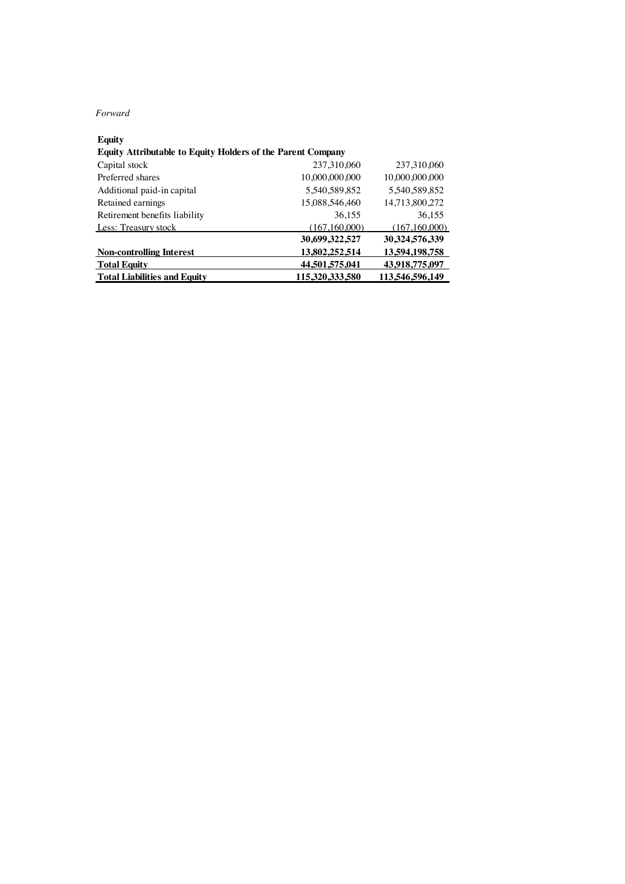#### *Forward*

| Equity                                                             |                 |                 |
|--------------------------------------------------------------------|-----------------|-----------------|
| <b>Equity Attributable to Equity Holders of the Parent Company</b> |                 |                 |
| Capital stock                                                      | 237,310,060     | 237,310,060     |
| Preferred shares                                                   | 10,000,000,000  | 10.000.000.000  |
| Additional paid-in capital                                         | 5.540.589.852   | 5.540.589.852   |
| Retained earnings                                                  | 15,088,546,460  | 14,713,800,272  |
| Retirement benefits liability                                      | 36.155          | 36.155          |
| Less: Treasury stock                                               | (167,160,000)   | (167, 160, 000) |
|                                                                    | 30,699,322,527  | 30,324,576,339  |
| <b>Non-controlling Interest</b>                                    | 13,802,252,514  | 13,594,198,758  |
| <b>Total Equity</b>                                                | 44,501,575,041  | 43,918,775,097  |
| <b>Total Liabilities and Equity</b>                                | 115,320,333,580 | 113,546,596,149 |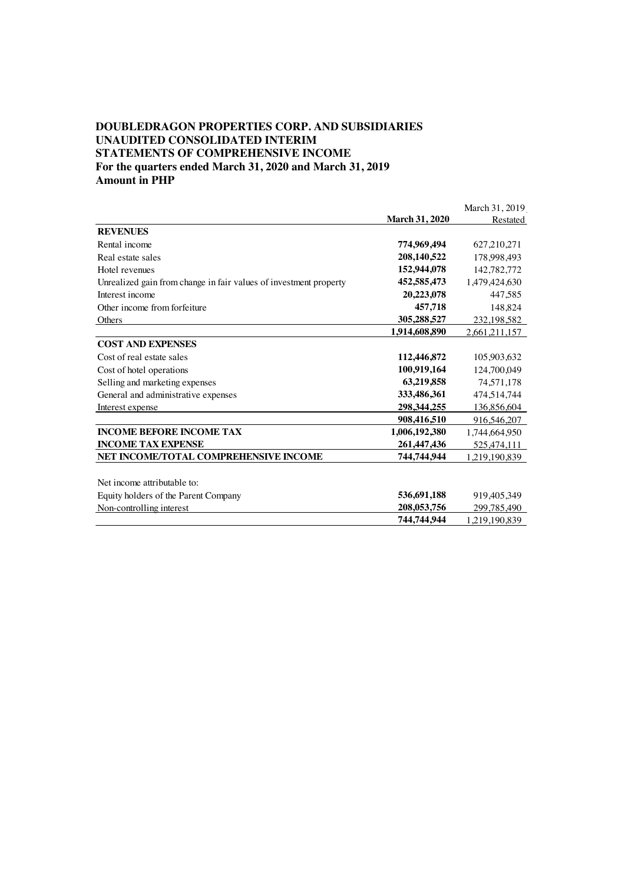#### **DOUBLEDRAGON PROPERTIES CORP. AND SUBSIDIARIES UNAUDITED CONSOLIDATED INTERIM STATEMENTS OF COMPREHENSIVE INCOME For the quarters ended March 31, 2020 and March 31, 2019 Amount in PHP**

March 31, 2019 **March 31, 2020** Restated **REVENUES** Rental income **774,969,494** 627,210,271 Real estate sales **208,140,522** 178,998,493<br>
Hotel revenues **152,944,078** 142.782.772 Hotel revenues **152,944,078** 142,782,772<br>
Unrealized gain from change in fair values of investment property **152,585,473** 1,479,424,630 Unrealized gain from change in fair values of investment property **452,585,473** 1,479,424,630 Interest income **20,223,078** 447,585 Other income from forfeiture **457,718** 148,824 Others **305,288,527** 232,198,582 **1,914,608,890** 2,661,211,157 **COST AND EXPENSES** Cost of real estate sales **112,446,872** 105,903,632 Cost of hotel operations **100,919,164** 124,700,049 Selling and marketing expenses **63,219,858** 74,571,178 General and administrative expenses **333,486,361** 474,514,744 Interest expense **298,344,255** 136,856,604 **908,416,510** 916,546,207 **INCOME BEFORE INCOME TAX 1,006,192,380** 1,744,664,950 **INCOME TAX EXPENSE 261,447,436** 525,474,111 **NET INCOME/TOTAL COMPREHENSIVE INCOME 744,744,944** 1,219,190,839 Net income attributable to: Equity holders of the Parent Company **536,691,188** 919,405,349 Non-controlling interest **208,053,756** 299,785,490 **744,744,944** 1,219,190,839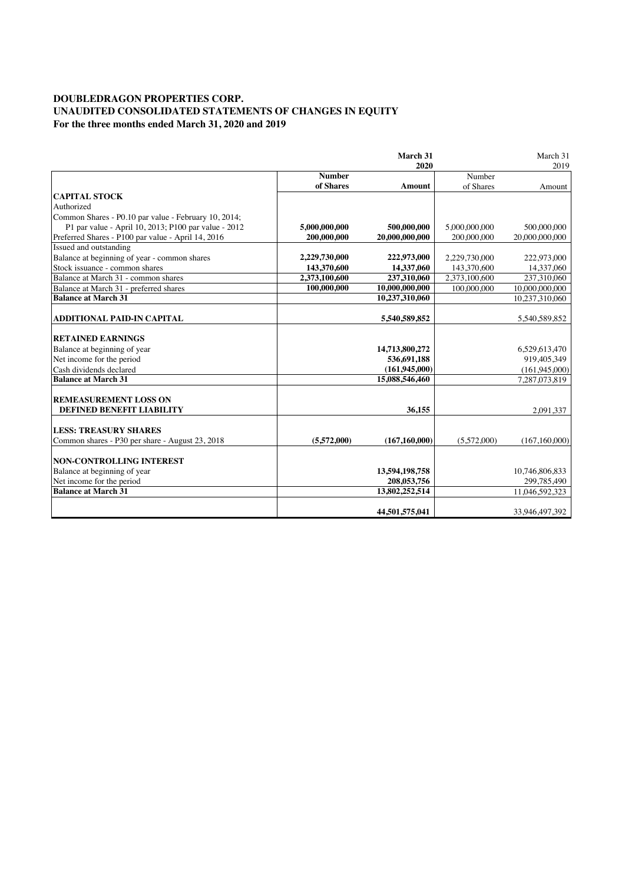### **DOUBLEDRAGON PROPERTIES CORP. UNAUDITED CONSOLIDATED STATEMENTS OF CHANGES IN EQUITY For the three months ended March 31, 2020 and 2019**

|                                                      |               | March 31        |               | March 31        |
|------------------------------------------------------|---------------|-----------------|---------------|-----------------|
|                                                      |               | 2020            |               | 2019            |
|                                                      | <b>Number</b> |                 | Number        |                 |
|                                                      | of Shares     | <b>Amount</b>   | of Shares     | Amount          |
| <b>CAPITAL STOCK</b>                                 |               |                 |               |                 |
| Authorized                                           |               |                 |               |                 |
| Common Shares - P0.10 par value - February 10, 2014; |               |                 |               |                 |
| P1 par value - April 10, 2013; P100 par value - 2012 | 5,000,000,000 | 500,000,000     | 5,000,000,000 | 500,000,000     |
| Preferred Shares - P100 par value - April 14, 2016   | 200,000,000   | 20,000,000,000  | 200,000,000   | 20,000,000,000  |
| Issued and outstanding                               |               |                 |               |                 |
| Balance at beginning of year - common shares         | 2,229,730,000 | 222,973,000     | 2,229,730,000 | 222,973,000     |
| Stock issuance - common shares                       | 143,370,600   | 14,337,060      | 143,370,600   | 14,337,060      |
| Balance at March 31 - common shares                  | 2,373,100,600 | 237,310,060     | 2,373,100,600 | 237,310,060     |
| Balance at March 31 - preferred shares               | 100,000,000   | 10,000,000,000  | 100,000,000   | 10,000,000,000  |
| <b>Balance at March 31</b>                           |               | 10,237,310,060  |               | 10,237,310,060  |
|                                                      |               |                 |               |                 |
| ADDITIONAL PAID-IN CAPITAL                           |               | 5,540,589,852   |               | 5,540,589,852   |
|                                                      |               |                 |               |                 |
| <b>RETAINED EARNINGS</b>                             |               |                 |               |                 |
| Balance at beginning of year                         |               | 14,713,800,272  |               | 6,529,613,470   |
| Net income for the period                            |               | 536,691,188     |               | 919,405,349     |
| Cash dividends declared                              |               | (161.945,000)   |               | (161, 945, 000) |
| <b>Balance at March 31</b>                           |               | 15,088,546,460  |               | 7,287,073,819   |
|                                                      |               |                 |               |                 |
| <b>REMEASUREMENT LOSS ON</b>                         |               |                 |               |                 |
| DEFINED BENEFIT LIABILITY                            |               | 36,155          |               | 2,091,337       |
|                                                      |               |                 |               |                 |
| <b>LESS: TREASURY SHARES</b>                         |               |                 |               |                 |
| Common shares - P30 per share - August 23, 2018      | (5.572,000)   | (167, 160, 000) | (5.572.000)   | (167, 160, 000) |
|                                                      |               |                 |               |                 |
| <b>NON-CONTROLLING INTEREST</b>                      |               |                 |               |                 |
| Balance at beginning of year                         |               | 13,594,198,758  |               | 10,746,806,833  |
| Net income for the period                            |               | 208,053,756     |               | 299,785,490     |
| <b>Balance at March 31</b>                           |               | 13,802,252,514  |               | 11,046,592,323  |
|                                                      |               | 44,501,575,041  |               |                 |
|                                                      |               |                 |               | 33,946,497,392  |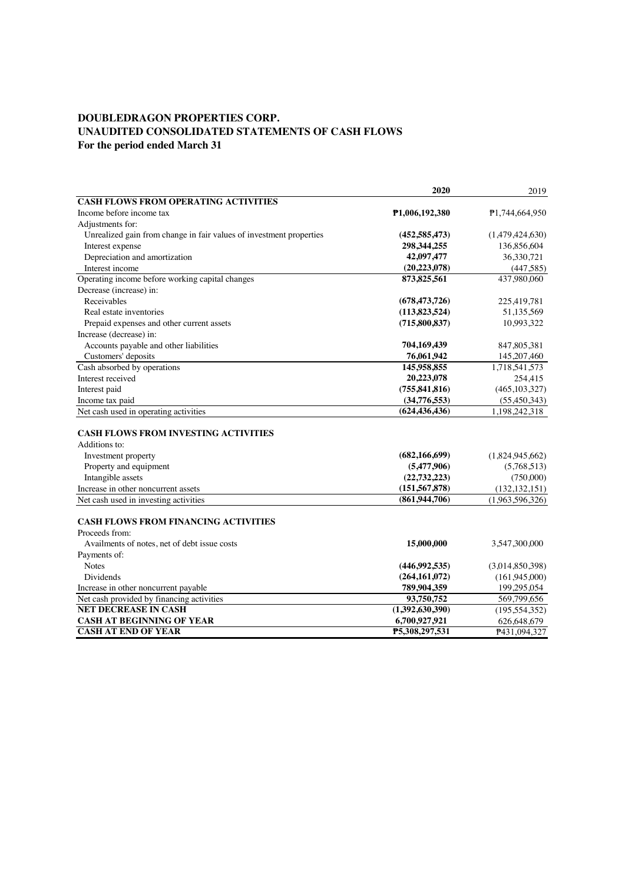## **DOUBLEDRAGON PROPERTIES CORP. UNAUDITED CONSOLIDATED STATEMENTS OF CASH FLOWS For the period ended March 31**

|                                                                     | 2020            | 2019            |
|---------------------------------------------------------------------|-----------------|-----------------|
| <b>CASH FLOWS FROM OPERATING ACTIVITIES</b>                         |                 |                 |
| Income before income tax                                            | P1,006,192,380  | P1,744,664,950  |
| Adjustments for:                                                    |                 |                 |
| Unrealized gain from change in fair values of investment properties | (452, 585, 473) | (1,479,424,630) |
| Interest expense                                                    | 298,344,255     | 136,856,604     |
| Depreciation and amortization                                       | 42,097,477      | 36,330,721      |
| Interest income                                                     | (20, 223, 078)  | (447, 585)      |
| Operating income before working capital changes                     | 873, 825, 561   | 437.980.060     |
| Decrease (increase) in:                                             |                 |                 |
| Receivables                                                         | (678, 473, 726) | 225,419,781     |
| Real estate inventories                                             | (113,823,524)   | 51,135,569      |
| Prepaid expenses and other current assets                           | (715,800,837)   | 10,993,322      |
| Increase (decrease) in:                                             |                 |                 |
| Accounts payable and other liabilities                              | 704,169,439     | 847,805,381     |
| Customers' deposits                                                 | 76,061,942      | 145, 207, 460   |
| Cash absorbed by operations                                         | 145,958,855     | 1,718,541,573   |
| Interest received                                                   | 20,223,078      | 254,415         |
| Interest paid                                                       | (755, 841, 816) | (465, 103, 327) |
| Income tax paid                                                     | (34,776,553)    | (55, 450, 343)  |
| Net cash used in operating activities                               | (624, 436, 436) | 1,198,242,318   |
|                                                                     |                 |                 |
| <b>CASH FLOWS FROM INVESTING ACTIVITIES</b>                         |                 |                 |
| Additions to:                                                       |                 |                 |
| Investment property                                                 | (682, 166, 699) | (1,824,945,662) |
| Property and equipment                                              | (5,477,906)     | (5,768,513)     |
| Intangible assets                                                   | (22, 732, 223)  | (750,000)       |
| Increase in other noncurrent assets                                 | (151, 567, 878) | (132, 132, 151) |
| Net cash used in investing activities                               | (861, 944, 706) | (1,963,596,326) |
|                                                                     |                 |                 |
| <b>CASH FLOWS FROM FINANCING ACTIVITIES</b>                         |                 |                 |
| Proceeds from:                                                      |                 |                 |
| Availments of notes, net of debt issue costs                        | 15,000,000      | 3,547,300,000   |
| Payments of:                                                        |                 |                 |
| <b>Notes</b>                                                        | (446,992,535)   | (3,014,850,398) |
| <b>Dividends</b>                                                    | (264, 161, 072) | (161,945,000)   |
| Increase in other noncurrent payable                                | 789,904,359     | 199,295,054     |
| Net cash provided by financing activities                           | 93,750,752      | 569,799,656     |
| <b>NET DECREASE IN CASH</b>                                         | (1,392,630,390) | (195, 554, 352) |
| <b>CASH AT BEGINNING OF YEAR</b>                                    | 6,700,927,921   | 626,648,679     |
| <b>CASH AT END OF YEAR</b>                                          | P5,308,297,531  | P431,094,327    |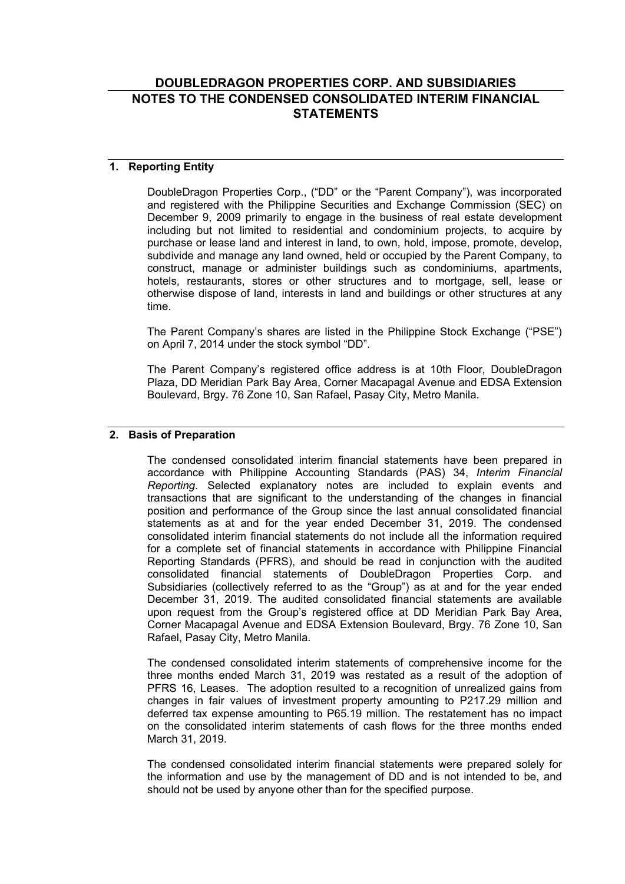# **DOUBLEDRAGON PROPERTIES CORP. AND SUBSIDIARIES NOTES TO THE CONDENSED CONSOLIDATED INTERIM FINANCIAL STATEMENTS**

## **1. Reporting Entity**

DoubleDragon Properties Corp., ("DD" or the "Parent Company"), was incorporated and registered with the Philippine Securities and Exchange Commission (SEC) on December 9, 2009 primarily to engage in the business of real estate development including but not limited to residential and condominium projects, to acquire by purchase or lease land and interest in land, to own, hold, impose, promote, develop, subdivide and manage any land owned, held or occupied by the Parent Company, to construct, manage or administer buildings such as condominiums, apartments, hotels, restaurants, stores or other structures and to mortgage, sell, lease or otherwise dispose of land, interests in land and buildings or other structures at any time.

The Parent Company's shares are listed in the Philippine Stock Exchange ("PSE") on April 7, 2014 under the stock symbol "DD".

The Parent Company's registered office address is at 10th Floor, DoubleDragon Plaza, DD Meridian Park Bay Area, Corner Macapagal Avenue and EDSA Extension Boulevard, Brgy. 76 Zone 10, San Rafael, Pasay City, Metro Manila.

### **2. Basis of Preparation**

The condensed consolidated interim financial statements have been prepared in accordance with Philippine Accounting Standards (PAS) 34, *Interim Financial Reporting*. Selected explanatory notes are included to explain events and transactions that are significant to the understanding of the changes in financial position and performance of the Group since the last annual consolidated financial statements as at and for the year ended December 31, 2019. The condensed consolidated interim financial statements do not include all the information required for a complete set of financial statements in accordance with Philippine Financial Reporting Standards (PFRS), and should be read in conjunction with the audited consolidated financial statements of DoubleDragon Properties Corp. and Subsidiaries (collectively referred to as the "Group") as at and for the year ended December 31, 2019. The audited consolidated financial statements are available upon request from the Group's registered office at DD Meridian Park Bay Area, Corner Macapagal Avenue and EDSA Extension Boulevard, Brgy. 76 Zone 10, San Rafael, Pasay City, Metro Manila.

The condensed consolidated interim statements of comprehensive income for the three months ended March 31, 2019 was restated as a result of the adoption of PFRS 16, Leases. The adoption resulted to a recognition of unrealized gains from changes in fair values of investment property amounting to P217.29 million and deferred tax expense amounting to P65.19 million. The restatement has no impact on the consolidated interim statements of cash flows for the three months ended March 31, 2019.

The condensed consolidated interim financial statements were prepared solely for the information and use by the management of DD and is not intended to be, and should not be used by anyone other than for the specified purpose.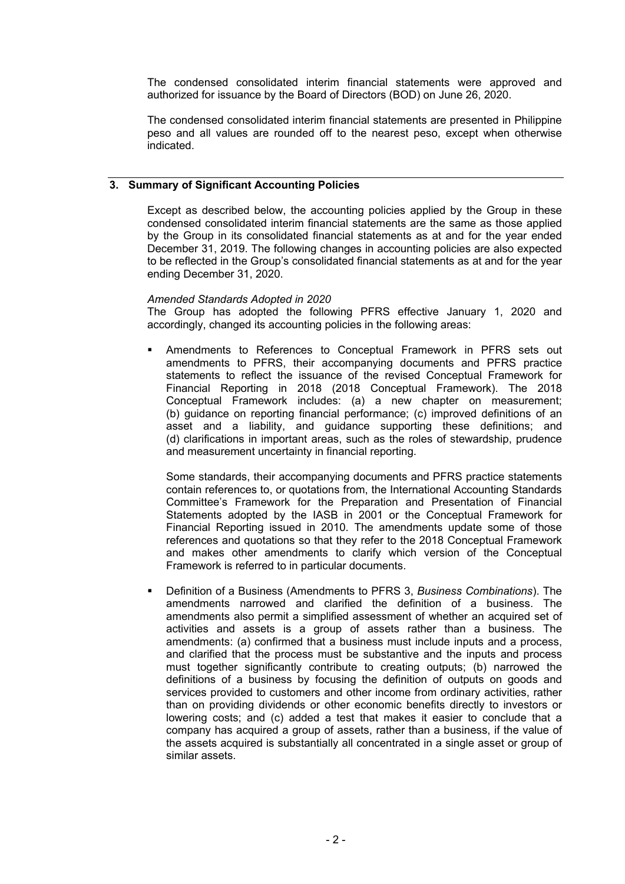The condensed consolidated interim financial statements were approved and authorized for issuance by the Board of Directors (BOD) on June 26, 2020.

The condensed consolidated interim financial statements are presented in Philippine peso and all values are rounded off to the nearest peso, except when otherwise indicated.

### **3. Summary of Significant Accounting Policies**

Except as described below, the accounting policies applied by the Group in these condensed consolidated interim financial statements are the same as those applied by the Group in its consolidated financial statements as at and for the year ended December 31, 2019. The following changes in accounting policies are also expected to be reflected in the Group's consolidated financial statements as at and for the year ending December 31, 2020.

#### *Amended Standards Adopted in 2020*

The Group has adopted the following PFRS effective January 1, 2020 and accordingly, changed its accounting policies in the following areas:

 Amendments to References to Conceptual Framework in PFRS sets out amendments to PFRS, their accompanying documents and PFRS practice statements to reflect the issuance of the revised Conceptual Framework for Financial Reporting in 2018 (2018 Conceptual Framework). The 2018 Conceptual Framework includes: (a) a new chapter on measurement; (b) guidance on reporting financial performance; (c) improved definitions of an asset and a liability, and guidance supporting these definitions; and (d) clarifications in important areas, such as the roles of stewardship, prudence and measurement uncertainty in financial reporting.

Some standards, their accompanying documents and PFRS practice statements contain references to, or quotations from, the International Accounting Standards Committee's Framework for the Preparation and Presentation of Financial Statements adopted by the IASB in 2001 or the Conceptual Framework for Financial Reporting issued in 2010. The amendments update some of those references and quotations so that they refer to the 2018 Conceptual Framework and makes other amendments to clarify which version of the Conceptual Framework is referred to in particular documents.

 Definition of a Business (Amendments to PFRS 3, *Business Combinations*). The amendments narrowed and clarified the definition of a business. The amendments also permit a simplified assessment of whether an acquired set of activities and assets is a group of assets rather than a business. The amendments: (a) confirmed that a business must include inputs and a process, and clarified that the process must be substantive and the inputs and process must together significantly contribute to creating outputs; (b) narrowed the definitions of a business by focusing the definition of outputs on goods and services provided to customers and other income from ordinary activities, rather than on providing dividends or other economic benefits directly to investors or lowering costs; and (c) added a test that makes it easier to conclude that a company has acquired a group of assets, rather than a business, if the value of the assets acquired is substantially all concentrated in a single asset or group of similar assets.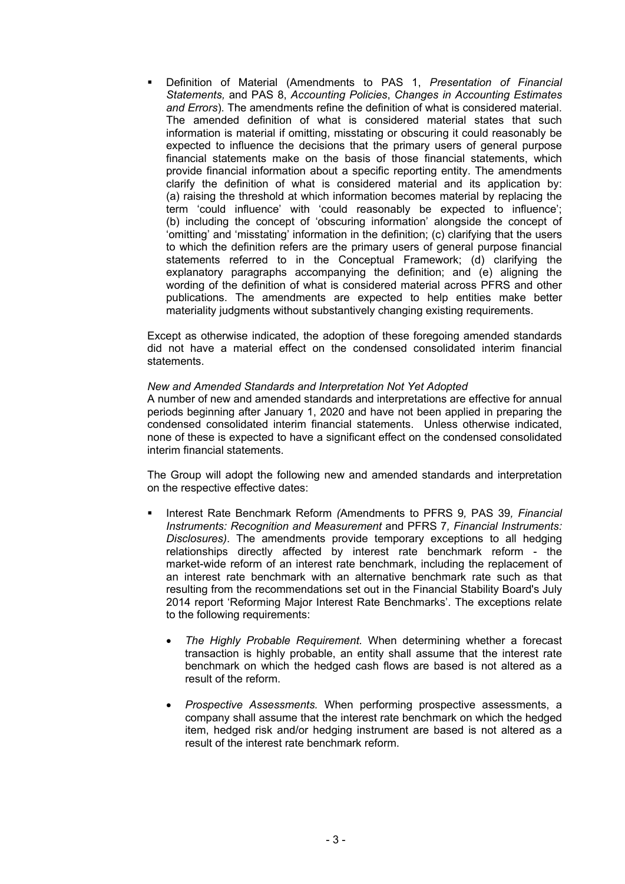Definition of Material (Amendments to PAS 1, *Presentation of Financial Statements,* and PAS 8, *Accounting Policies*, *Changes in Accounting Estimates and Errors*). The amendments refine the definition of what is considered material. The amended definition of what is considered material states that such information is material if omitting, misstating or obscuring it could reasonably be expected to influence the decisions that the primary users of general purpose financial statements make on the basis of those financial statements, which provide financial information about a specific reporting entity. The amendments clarify the definition of what is considered material and its application by: (a) raising the threshold at which information becomes material by replacing the term 'could influence' with 'could reasonably be expected to influence'; (b) including the concept of 'obscuring information' alongside the concept of 'omitting' and 'misstating' information in the definition; (c) clarifying that the users to which the definition refers are the primary users of general purpose financial statements referred to in the Conceptual Framework; (d) clarifying the explanatory paragraphs accompanying the definition; and (e) aligning the wording of the definition of what is considered material across PFRS and other publications. The amendments are expected to help entities make better materiality judgments without substantively changing existing requirements.

Except as otherwise indicated, the adoption of these foregoing amended standards did not have a material effect on the condensed consolidated interim financial statements.

#### *New and Amended Standards and Interpretation Not Yet Adopted*

A number of new and amended standards and interpretations are effective for annual periods beginning after January 1, 2020 and have not been applied in preparing the condensed consolidated interim financial statements. Unless otherwise indicated, none of these is expected to have a significant effect on the condensed consolidated interim financial statements.

The Group will adopt the following new and amended standards and interpretation on the respective effective dates:

- Interest Rate Benchmark Reform *(*Amendments to PFRS 9*,* PAS 39*, Financial Instruments: Recognition and Measurement* and PFRS 7*, Financial Instruments: Disclosures)*. The amendments provide temporary exceptions to all hedging relationships directly affected by interest rate benchmark reform - the market-wide reform of an interest rate benchmark, including the replacement of an interest rate benchmark with an alternative benchmark rate such as that resulting from the recommendations set out in the Financial Stability Board's July 2014 report 'Reforming Major Interest Rate Benchmarks'. The exceptions relate to the following requirements:
	- *The Highly Probable Requirement.* When determining whether a forecast transaction is highly probable, an entity shall assume that the interest rate benchmark on which the hedged cash flows are based is not altered as a result of the reform.
	- *Prospective Assessments.* When performing prospective assessments, a company shall assume that the interest rate benchmark on which the hedged item, hedged risk and/or hedging instrument are based is not altered as a result of the interest rate benchmark reform.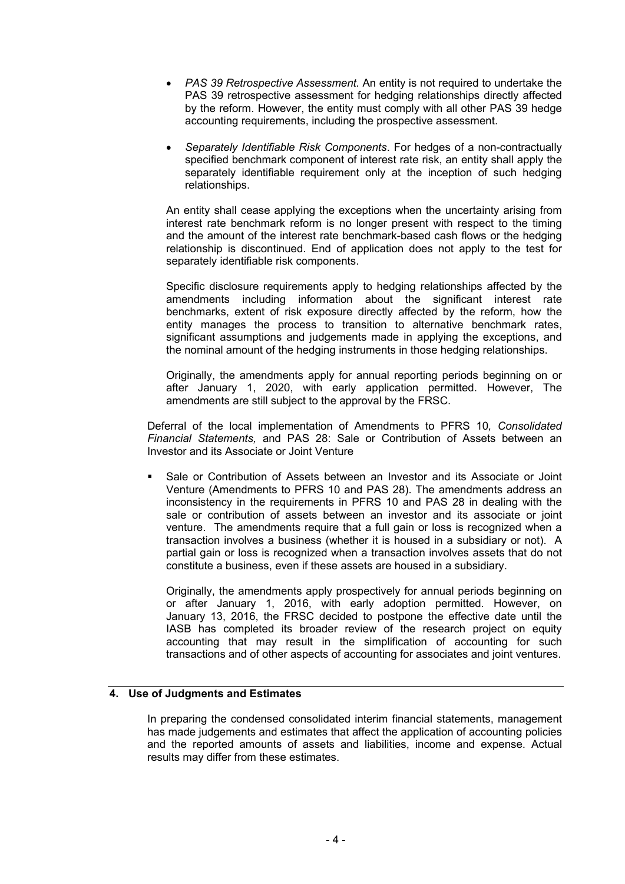- *PAS 39 Retrospective Assessment.* An entity is not required to undertake the PAS 39 retrospective assessment for hedging relationships directly affected by the reform. However, the entity must comply with all other PAS 39 hedge accounting requirements, including the prospective assessment.
- *Separately Identifiable Risk Components*. For hedges of a non-contractually specified benchmark component of interest rate risk, an entity shall apply the separately identifiable requirement only at the inception of such hedging relationships.

An entity shall cease applying the exceptions when the uncertainty arising from interest rate benchmark reform is no longer present with respect to the timing and the amount of the interest rate benchmark-based cash flows or the hedging relationship is discontinued. End of application does not apply to the test for separately identifiable risk components.

Specific disclosure requirements apply to hedging relationships affected by the amendments including information about the significant interest rate benchmarks, extent of risk exposure directly affected by the reform, how the entity manages the process to transition to alternative benchmark rates, significant assumptions and judgements made in applying the exceptions, and the nominal amount of the hedging instruments in those hedging relationships.

Originally, the amendments apply for annual reporting periods beginning on or after January 1, 2020, with early application permitted. However, The amendments are still subject to the approval by the FRSC.

Deferral of the local implementation of Amendments to PFRS 10*, Consolidated Financial Statements,* and PAS 28: Sale or Contribution of Assets between an Investor and its Associate or Joint Venture

 Sale or Contribution of Assets between an Investor and its Associate or Joint Venture (Amendments to PFRS 10 and PAS 28). The amendments address an inconsistency in the requirements in PFRS 10 and PAS 28 in dealing with the sale or contribution of assets between an investor and its associate or joint venture. The amendments require that a full gain or loss is recognized when a transaction involves a business (whether it is housed in a subsidiary or not). A partial gain or loss is recognized when a transaction involves assets that do not constitute a business, even if these assets are housed in a subsidiary.

Originally, the amendments apply prospectively for annual periods beginning on or after January 1, 2016, with early adoption permitted. However, on January 13, 2016, the FRSC decided to postpone the effective date until the IASB has completed its broader review of the research project on equity accounting that may result in the simplification of accounting for such transactions and of other aspects of accounting for associates and joint ventures.

### **4. Use of Judgments and Estimates**

In preparing the condensed consolidated interim financial statements, management has made judgements and estimates that affect the application of accounting policies and the reported amounts of assets and liabilities, income and expense. Actual results may differ from these estimates.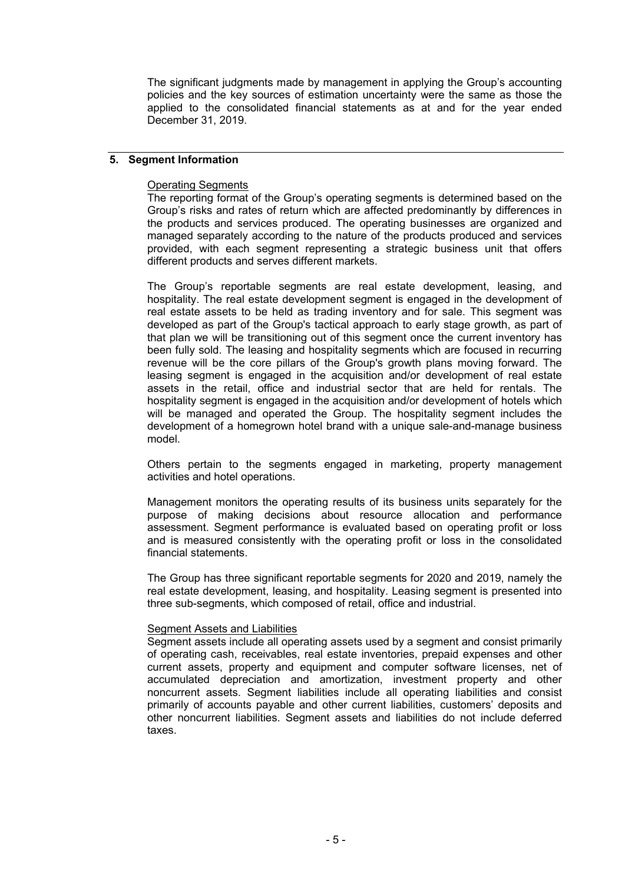The significant judgments made by management in applying the Group's accounting policies and the key sources of estimation uncertainty were the same as those the applied to the consolidated financial statements as at and for the year ended December 31, 2019.

### **5. Segment Information**

### Operating Segments

The reporting format of the Group's operating segments is determined based on the Group's risks and rates of return which are affected predominantly by differences in the products and services produced. The operating businesses are organized and managed separately according to the nature of the products produced and services provided, with each segment representing a strategic business unit that offers different products and serves different markets.

The Group's reportable segments are real estate development, leasing, and hospitality. The real estate development segment is engaged in the development of real estate assets to be held as trading inventory and for sale. This segment was developed as part of the Group's tactical approach to early stage growth, as part of that plan we will be transitioning out of this segment once the current inventory has been fully sold. The leasing and hospitality segments which are focused in recurring revenue will be the core pillars of the Group's growth plans moving forward. The leasing segment is engaged in the acquisition and/or development of real estate assets in the retail, office and industrial sector that are held for rentals. The hospitality segment is engaged in the acquisition and/or development of hotels which will be managed and operated the Group. The hospitality segment includes the development of a homegrown hotel brand with a unique sale-and-manage business model.

Others pertain to the segments engaged in marketing, property management activities and hotel operations.

Management monitors the operating results of its business units separately for the purpose of making decisions about resource allocation and performance assessment. Segment performance is evaluated based on operating profit or loss and is measured consistently with the operating profit or loss in the consolidated financial statements.

The Group has three significant reportable segments for 2020 and 2019, namely the real estate development, leasing, and hospitality. Leasing segment is presented into three sub-segments, which composed of retail, office and industrial.

### Segment Assets and Liabilities

Segment assets include all operating assets used by a segment and consist primarily of operating cash, receivables, real estate inventories, prepaid expenses and other current assets, property and equipment and computer software licenses, net of accumulated depreciation and amortization, investment property and other noncurrent assets. Segment liabilities include all operating liabilities and consist primarily of accounts payable and other current liabilities, customers' deposits and other noncurrent liabilities. Segment assets and liabilities do not include deferred taxes.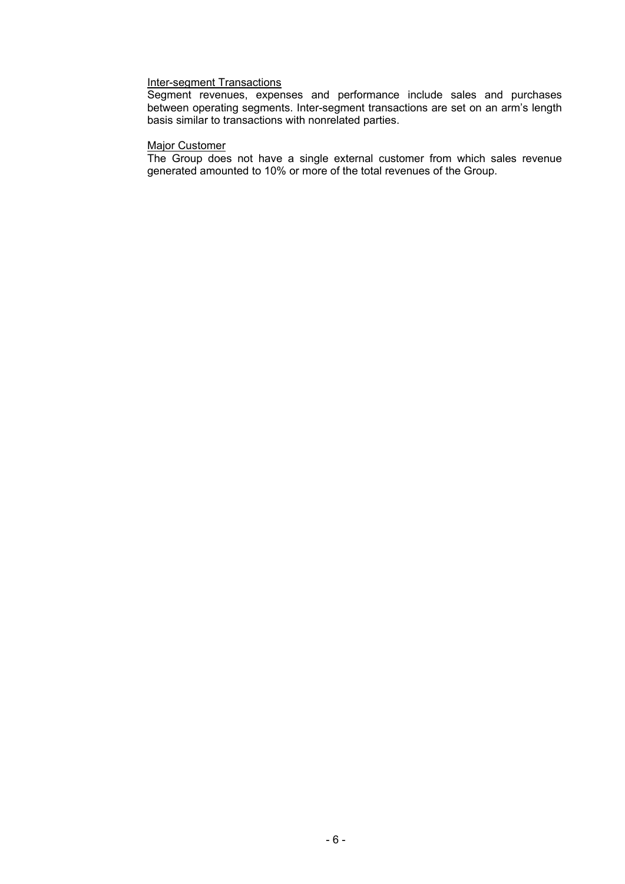## Inter-segment Transactions

Segment revenues, expenses and performance include sales and purchases between operating segments. Inter-segment transactions are set on an arm's length basis similar to transactions with nonrelated parties.

#### Major Customer

The Group does not have a single external customer from which sales revenue generated amounted to 10% or more of the total revenues of the Group.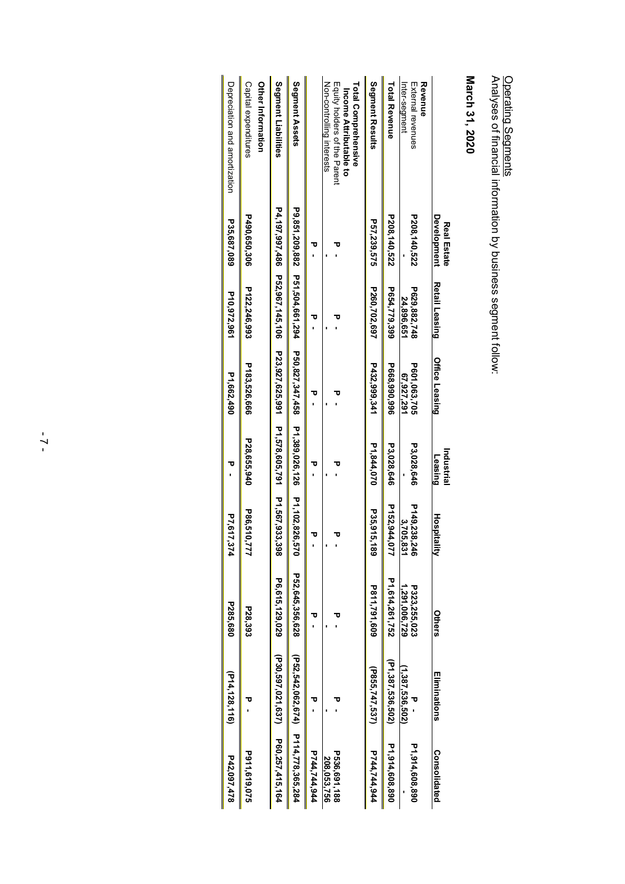| האווים ווא ממווות היום והח                                                    |
|-------------------------------------------------------------------------------|
|                                                                               |
|                                                                               |
| -<br>-<br>-<br>-<br>-<br>-<br>-<br>-<br><br>-<br><br><br><br><br><br><br><br> |
|                                                                               |
|                                                                               |
|                                                                               |
|                                                                               |
|                                                                               |
|                                                                               |
|                                                                               |
|                                                                               |
|                                                                               |
|                                                                               |
| 5<br>2<br>2                                                                   |
|                                                                               |
|                                                                               |
|                                                                               |
|                                                                               |
|                                                                               |
|                                                                               |
|                                                                               |
|                                                                               |
|                                                                               |
|                                                                               |
|                                                                               |
|                                                                               |
|                                                                               |
|                                                                               |
|                                                                               |

Analyses of financial information by business segm ent follow:

| Depreciation and amortization | Capital expenditures<br><b>Other Information</b> | Segment Liabilities                           | Segment Assets                     |              | Equity rolders of the Parent<br>Total Comprehensive<br>Non-controlling interests<br>Income Attributable to | Segment Results | <b>Total Revenue</b> | Revenue<br>External revenues<br>Inter-segment |                                   | March 31, 2020 |
|-------------------------------|--------------------------------------------------|-----------------------------------------------|------------------------------------|--------------|------------------------------------------------------------------------------------------------------------|-----------------|----------------------|-----------------------------------------------|-----------------------------------|----------------|
|                               |                                                  |                                               |                                    |              |                                                                                                            |                 |                      |                                               |                                   |                |
| P35,687,089                   | P490,650,306                                     |                                               | P9,851,209,882                     | τ            |                                                                                                            | P57,239,575     | P208,140,522         | P208,140,522                                  | Development<br><b>Real Estate</b> |                |
| P10,972,961                   | P122,246,993                                     | P4,197,997,486 P52,967,145,106                | P51,504,661,294                    | τ            | U                                                                                                          | P260,702,697    | P654,779,399         | P629,882,748<br>24,896,651                    | Retail Leasing                    |                |
| P1,662,490                    | P183,526,666                                     |                                               | P50,827,347,458                    | τ            | υ                                                                                                          | P432,999,341    | P668,990,996         | P601,063,705<br>67,927,291                    | <b>Office Leasing</b>             |                |
| Δ                             | P28,655,940                                      | P23,927,625,991 P1,578,605,791 P1,567,933,398 | P1,389,026,126                     | τ            |                                                                                                            | P1,844,070      | P3,028,646           | P3,028,646                                    | Industrial<br>Leasing             |                |
| P7,617,374                    | P86,510,777                                      |                                               | P1,102,826,570                     |              |                                                                                                            | P35,915,<br>ឨ   | P152,944,077         | P149.238,246<br>3,705,831                     | Hospitality                       |                |
| P285,680                      | P28,393                                          | P6,615,129,029                                | P52,645,356,628                    | τ            | τ                                                                                                          | P811,791,609    | P1,614,261,752       | P323,255,023<br>1,291,006,729                 | Others                            |                |
| $($ P14, 128, 116)            |                                                  | (P30,597,021,637)                             |                                    | τ            |                                                                                                            | (P855,747,537)  | (P1,387,536,502)     | (1,387,536,502)                               | Eliminations                      |                |
| P42,097,478                   | P911,619,075                                     | P60,257,415,164                               | (P52,542,062,674) P114,778,365,284 | P744,744,944 | P536,691,188<br>208,053,756                                                                                | P744,744,944    | P1,914,608,890       | P1,914,608,890                                | Consolidated                      |                |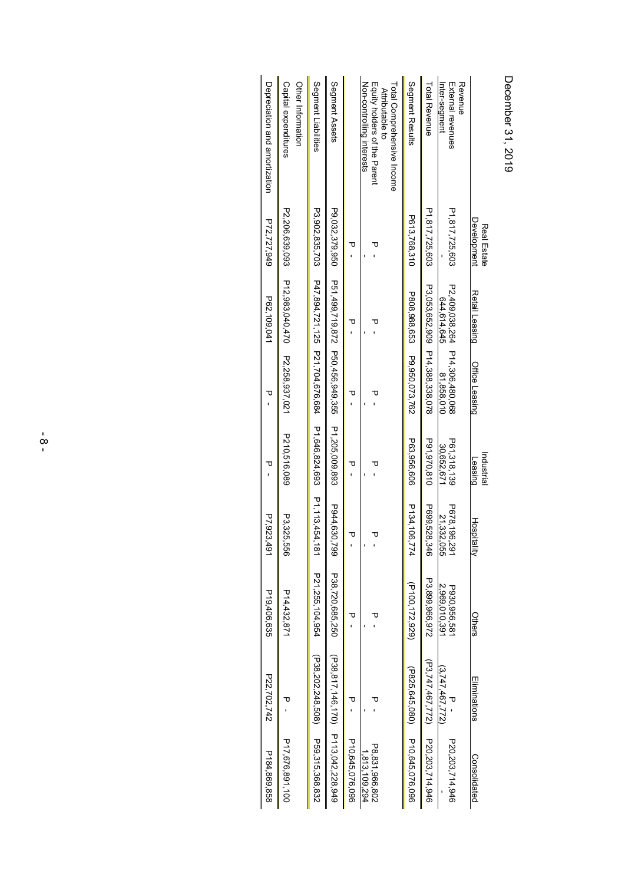| Depreciation and a mortization | Capital expenditures<br>Other Information | Segment Liabilities                                                                           | Segment Assets                               |                 | Non-controlling interests<br>Equity rolders of the Parent<br>Total Comprehensive Income<br><b>Attributable to</b> | Segment Results                     | Total Revenue                    | Revenue<br>External revenues<br>Inter-segment | היה היה היה היה ה          |
|--------------------------------|-------------------------------------------|-----------------------------------------------------------------------------------------------|----------------------------------------------|-----------------|-------------------------------------------------------------------------------------------------------------------|-------------------------------------|----------------------------------|-----------------------------------------------|----------------------------|
| P72,727,949                    | P2.206,639.093                            |                                                                                               | P9,032,379,950                               | ᠊ᠣ              | ᠊ᠣ                                                                                                                | P613,768,310                        | P1,817,725,603                   | P1,817,725,603                                | Development<br>Real Estate |
| P62,109,041                    | P12,983,040,470                           | P3,902,835,713,474,181<br>P3,902,835,713,191<br>P3,904,192<br>P3,02,835,713,14<br>P4<br>P3,02 | P51,499,719,872 P50,456,949,355              | ᠊ᠣ              | τ                                                                                                                 |                                     | P3,053,652,909                   | P2.409,038.264<br>644,614,645                 | Retail Leasing             |
| ᠊ᠣ                             | P2.258,937,021                            |                                                                                               |                                              | ᠊ᠣ              | ᠊ᠣ                                                                                                                | P808,988,653 P9,950,073,762         | P14,388,338,078                  | P14,306,480,068<br>81,858,010                 | <b>Office Leasing</b>      |
| $\overline{U}$                 | P210,516,089                              |                                                                                               | P1,205,009,893                               | τ               | ᠊ᠣ                                                                                                                | P63,956,606                         | P91,970,810                      | P61,318,139<br>30.652.671                     | Industrial<br>Leasing      |
| P7,923,491                     | P3,325,556                                |                                                                                               | P944,630,799                                 | ᠊ᠣ              |                                                                                                                   | P134,106,774                        | P699,528,346                     | P678,196,291<br>21,332,055                    | <b>Hospital</b><br>₹       |
| P19,406,635                    | P14,432,871                               | P21,255,104,954                                                                               | P38,720,685.250                              | τ               | τ                                                                                                                 | (P100,172,929)                      | P3,899,966,972                   | 2,969,010,391<br>P930.956.581                 | Others                     |
| P22,702,742                    |                                           |                                                                                               |                                              | Δ               | ᠊ᠣ                                                                                                                |                                     |                                  | (3,747,467,772)                               | Eliminations               |
| P184,869,858                   | P17,676,891,100                           | (P38,202,248,508,508,315,368,832)                                                             | $(P38, 817, 146, 170)$ $P113, 042, 228, 949$ | P10,645,076,096 | P8.831,966,802<br>1,813,109,294                                                                                   | (P820, 045, 080) P10, 045, 076, 096 | (P3,747,467,772) P20,203,714,946 | P20,203,714,946                               | Consolidated               |

December December 31, 2019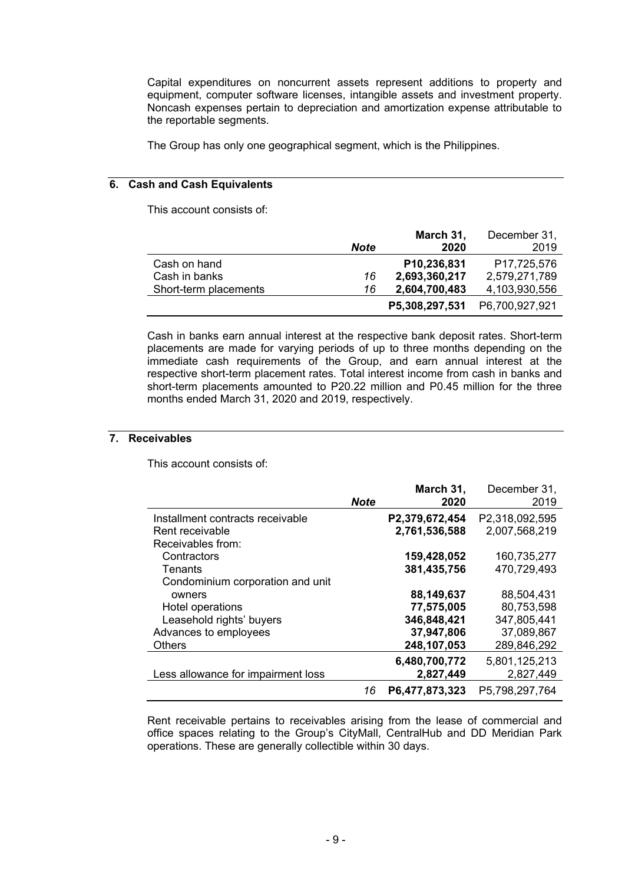Capital expenditures on noncurrent assets represent additions to property and equipment, computer software licenses, intangible assets and investment property. Noncash expenses pertain to depreciation and amortization expense attributable to the reportable segments.

The Group has only one geographical segment, which is the Philippines.

### **6. Cash and Cash Equivalents**

This account consists of:

|                       |             | March 31,      | December 31,   |
|-----------------------|-------------|----------------|----------------|
|                       | <b>Note</b> | 2020           | 2019           |
| Cash on hand          |             | P10,236,831    | P17,725,576    |
| Cash in banks         | 16          | 2,693,360,217  | 2,579,271,789  |
| Short-term placements | 16          | 2,604,700,483  | 4,103,930,556  |
|                       |             | P5,308,297,531 | P6,700,927,921 |

Cash in banks earn annual interest at the respective bank deposit rates. Short-term placements are made for varying periods of up to three months depending on the immediate cash requirements of the Group, and earn annual interest at the respective short-term placement rates. Total interest income from cash in banks and short-term placements amounted to P20.22 million and P0.45 million for the three months ended March 31, 2020 and 2019, respectively.

### **7. Receivables**

This account consists of:

|                                    | <b>Note</b> | March 31,<br>2020 | December 31,<br>2019 |
|------------------------------------|-------------|-------------------|----------------------|
| Installment contracts receivable   |             | P2,379,672,454    | P2,318,092,595       |
| Rent receivable                    |             | 2,761,536,588     | 2,007,568,219        |
| Receivables from:                  |             |                   |                      |
| Contractors                        |             | 159,428,052       | 160,735,277          |
| Tenants                            |             | 381,435,756       | 470,729,493          |
| Condominium corporation and unit   |             |                   |                      |
| owners                             |             | 88,149,637        | 88,504,431           |
| Hotel operations                   |             | 77,575,005        | 80,753,598           |
| Leasehold rights' buyers           |             | 346,848,421       | 347,805,441          |
| Advances to employees              |             | 37,947,806        | 37,089,867           |
| <b>Others</b>                      |             | 248,107,053       | 289,846,292          |
|                                    |             | 6,480,700,772     | 5,801,125,213        |
| Less allowance for impairment loss |             | 2,827,449         | 2,827,449            |
|                                    | 16          | P6,477,873,323    | P5.798,297,764       |

Rent receivable pertains to receivables arising from the lease of commercial and office spaces relating to the Group's CityMall, CentralHub and DD Meridian Park operations. These are generally collectible within 30 days.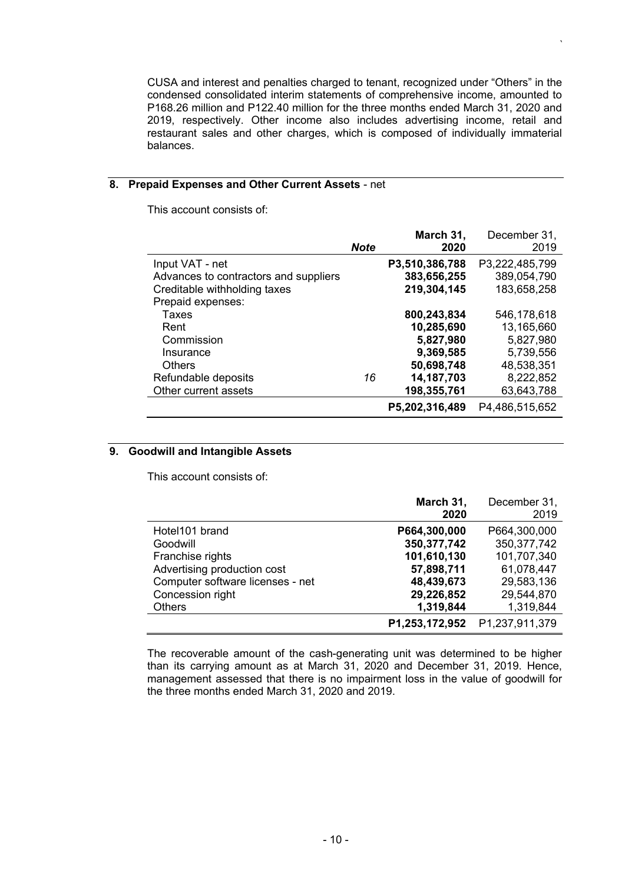CUSA and interest and penalties charged to tenant, recognized under "Others" in the condensed consolidated interim statements of comprehensive income, amounted to P168.26 million and P122.40 million for the three months ended March 31, 2020 and 2019, respectively. Other income also includes advertising income, retail and restaurant sales and other charges, which is composed of individually immaterial balances.

*`*

## **8. Prepaid Expenses and Other Current Assets** - net

This account consists of:

|                                       | <b>Note</b> | March 31,<br>2020 | December 31,<br>2019 |
|---------------------------------------|-------------|-------------------|----------------------|
| Input VAT - net                       |             | P3,510,386,788    | P3,222,485,799       |
| Advances to contractors and suppliers |             | 383,656,255       | 389,054,790          |
| Creditable withholding taxes          |             | 219,304,145       | 183,658,258          |
| Prepaid expenses:                     |             |                   |                      |
| Taxes                                 |             | 800,243,834       | 546,178,618          |
| Rent                                  |             | 10,285,690        | 13,165,660           |
| Commission                            |             | 5,827,980         | 5,827,980            |
| Insurance                             |             | 9,369,585         | 5,739,556            |
| <b>Others</b>                         |             | 50,698,748        | 48,538,351           |
| Refundable deposits                   | 16          | 14, 187, 703      | 8,222,852            |
| Other current assets                  |             | 198,355,761       | 63,643,788           |
|                                       |             | P5,202,316,489    | P4,486,515,652       |

### **9. Goodwill and Intangible Assets**

This account consists of:

|                                  | March 31,      | December 31,   |
|----------------------------------|----------------|----------------|
|                                  | 2020           | 2019           |
| Hotel101 brand                   | P664,300,000   | P664,300,000   |
| Goodwill                         | 350, 377, 742  | 350, 377, 742  |
| Franchise rights                 | 101,610,130    | 101,707,340    |
| Advertising production cost      | 57,898,711     | 61,078,447     |
| Computer software licenses - net | 48,439,673     | 29,583,136     |
| Concession right                 | 29,226,852     | 29,544,870     |
| <b>Others</b>                    | 1,319,844      | 1,319,844      |
|                                  | P1,253,172,952 | P1.237.911.379 |

The recoverable amount of the cash-generating unit was determined to be higher than its carrying amount as at March 31, 2020 and December 31, 2019. Hence, management assessed that there is no impairment loss in the value of goodwill for the three months ended March 31, 2020 and 2019.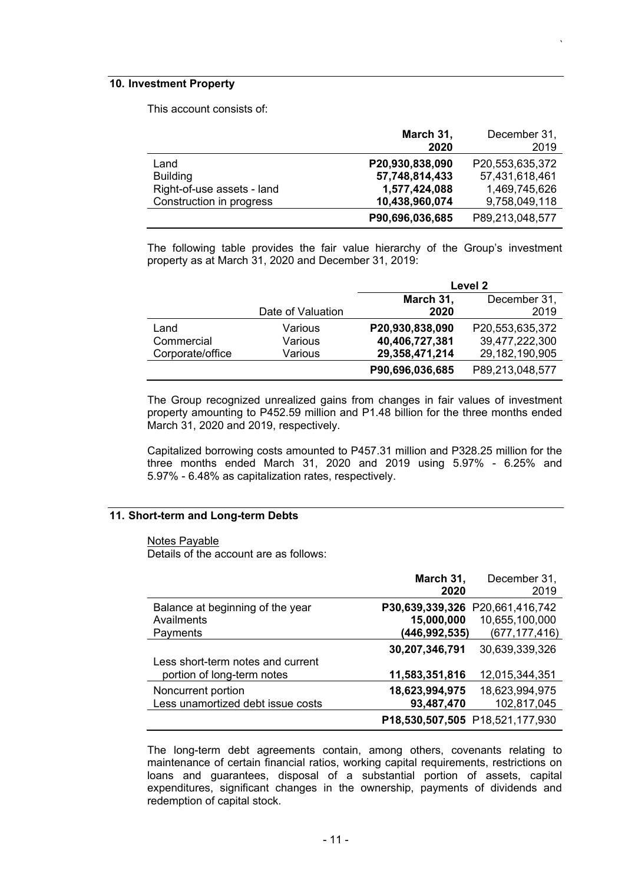### **10. Investment Property**

This account consists of:

|                            | March 31,       | December 31,    |
|----------------------------|-----------------|-----------------|
|                            | 2020            | 2019            |
| Land                       | P20,930,838,090 | P20,553,635,372 |
| <b>Building</b>            | 57,748,814,433  | 57,431,618,461  |
| Right-of-use assets - land | 1,577,424,088   | 1,469,745,626   |
| Construction in progress   | 10,438,960,074  | 9,758,049,118   |
|                            | P90,696,036,685 | P89,213,048,577 |

*`*

The following table provides the fair value hierarchy of the Group's investment property as at March 31, 2020 and December 31, 2019:

|                  |                   | Level 2         |                 |  |
|------------------|-------------------|-----------------|-----------------|--|
|                  |                   | March 31,       | December 31,    |  |
|                  | Date of Valuation | 2020            | 2019            |  |
| Land             | Various           | P20,930,838,090 | P20,553,635,372 |  |
| Commercial       | Various           | 40,406,727,381  | 39,477,222,300  |  |
| Corporate/office | Various           | 29,358,471,214  | 29,182,190,905  |  |
|                  |                   | P90,696,036,685 | P89,213,048,577 |  |

The Group recognized unrealized gains from changes in fair values of investment property amounting to P452.59 million and P1.48 billion for the three months ended March 31, 2020 and 2019, respectively.

Capitalized borrowing costs amounted to P457.31 million and P328.25 million for the three months ended March 31, 2020 and 2019 using 5.97% - 6.25% and 5.97% - 6.48% as capitalization rates, respectively.

#### **11. Short-term and Long-term Debts**

Notes Payable

Details of the account are as follows:

| March 31,       | December 31,                    |
|-----------------|---------------------------------|
| 2020            | 2019                            |
| P30,639,339,326 | P20,661,416,742                 |
| 15,000,000      | 10,655,100,000                  |
| (446,992,535)   | (677, 177, 416)                 |
| 30,207,346,791  | 30,639,339,326                  |
| 11,583,351,816  | 12,015,344,351                  |
| 18,623,994,975  | 18,623,994,975                  |
| 93,487,470      | 102,817,045                     |
|                 | P18,530,507,505 P18,521,177,930 |

The long-term debt agreements contain, among others, covenants relating to maintenance of certain financial ratios, working capital requirements, restrictions on loans and guarantees, disposal of a substantial portion of assets, capital expenditures, significant changes in the ownership, payments of dividends and redemption of capital stock.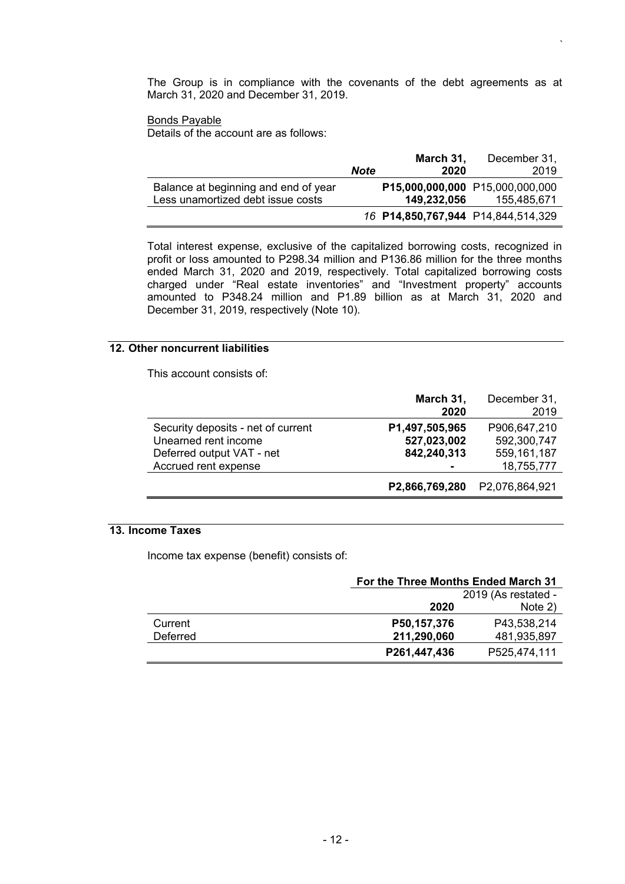The Group is in compliance with the covenants of the debt agreements as at March 31, 2020 and December 31, 2019.

*`*

## Bonds Payable

Details of the account are as follows:

|                                      |             | March 31,                          | December 31,                    |
|--------------------------------------|-------------|------------------------------------|---------------------------------|
|                                      | <b>Note</b> | 2020                               | 2019                            |
| Balance at beginning and end of year |             |                                    | P15,000,000,000 P15,000,000,000 |
| Less unamortized debt issue costs    |             | 149,232,056                        | 155,485,671                     |
|                                      |             | 16 P14,850,767,944 P14,844,514,329 |                                 |

Total interest expense, exclusive of the capitalized borrowing costs, recognized in profit or loss amounted to P298.34 million and P136.86 million for the three months ended March 31, 2020 and 2019, respectively. Total capitalized borrowing costs charged under "Real estate inventories" and "Investment property" accounts amounted to P348.24 million and P1.89 billion as at March 31, 2020 and December 31, 2019, respectively (Note 10).

## **12. Other noncurrent liabilities**

This account consists of:

|                                    | March 31,<br>2020 | December 31,<br>2019 |
|------------------------------------|-------------------|----------------------|
| Security deposits - net of current | P1,497,505,965    | P906,647,210         |
| Unearned rent income               | 527,023,002       | 592,300,747          |
| Deferred output VAT - net          | 842,240,313       | 559,161,187          |
| Accrued rent expense               |                   | 18,755,777           |
|                                    | P2,866,769,280    | P2,076,864,921       |

## **13. Income Taxes**

Income tax expense (benefit) consists of:

|          |              | For the Three Months Ended March 31 |  |  |
|----------|--------------|-------------------------------------|--|--|
|          |              | 2019 (As restated -                 |  |  |
|          | 2020         | Note 2)                             |  |  |
| Current  | P50,157,376  | P43.538.214                         |  |  |
| Deferred | 211,290,060  | 481,935,897                         |  |  |
|          | P261,447,436 | P525,474,111                        |  |  |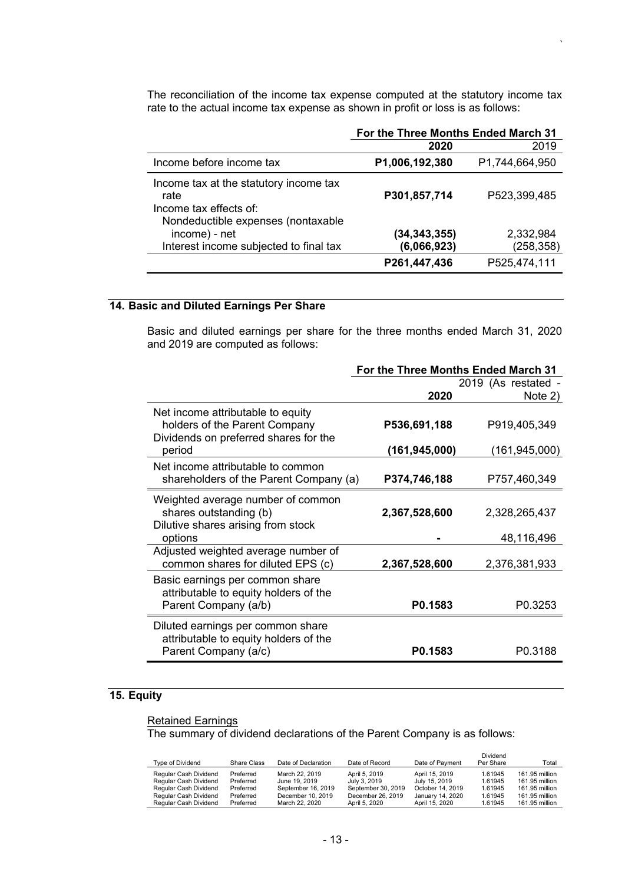The reconciliation of the income tax expense computed at the statutory income tax rate to the actual income tax expense as shown in profit or loss is as follows:

*`*

|                                                                                                                | For the Three Months Ended March 31 |                         |  |
|----------------------------------------------------------------------------------------------------------------|-------------------------------------|-------------------------|--|
|                                                                                                                | 2020                                | 2019                    |  |
| Income before income tax                                                                                       | P1,006,192,380                      | P1,744,664,950          |  |
| Income tax at the statutory income tax<br>rate<br>Income tax effects of:<br>Nondeductible expenses (nontaxable | P301,857,714                        | P523,399,485            |  |
| income) - net<br>Interest income subjected to final tax                                                        | (34, 343, 355)<br>(6,066,923)       | 2,332,984<br>(258, 358) |  |
|                                                                                                                | P261,447,436                        | P525,474,111            |  |

# **14. Basic and Diluted Earnings Per Share**

Basic and diluted earnings per share for the three months ended March 31, 2020 and 2019 are computed as follows:

|                                                                                                                       | For the Three Months Ended March 31 |                                 |  |
|-----------------------------------------------------------------------------------------------------------------------|-------------------------------------|---------------------------------|--|
|                                                                                                                       |                                     | 2019 (As restated -             |  |
|                                                                                                                       | 2020                                | Note 2)                         |  |
| Net income attributable to equity<br>holders of the Parent Company<br>Dividends on preferred shares for the<br>period | P536,691,188<br>(161, 945, 000)     | P919,405,349<br>(161, 945, 000) |  |
| Net income attributable to common<br>shareholders of the Parent Company (a)                                           | P374,746,188                        | P757,460,349                    |  |
| Weighted average number of common<br>shares outstanding (b)<br>Dilutive shares arising from stock<br>options          | 2,367,528,600                       | 2,328,265,437<br>48,116,496     |  |
| Adjusted weighted average number of<br>common shares for diluted EPS (c)                                              | 2,367,528,600                       | 2,376,381,933                   |  |
| Basic earnings per common share<br>attributable to equity holders of the<br>Parent Company (a/b)                      | P0.1583                             | P0.3253                         |  |
| Diluted earnings per common share<br>attributable to equity holders of the<br>Parent Company (a/c)                    | P0.1583                             | P0.3188                         |  |

## **15. Equity**

#### **Retained Earnings**

The summary of dividend declarations of the Parent Company is as follows:

| Type of Dividend      | Share Class | Date of Declaration | Date of Record     | Date of Payment  | Dividend<br>Per Share | Total          |
|-----------------------|-------------|---------------------|--------------------|------------------|-----------------------|----------------|
| Regular Cash Dividend | Preferred   | March 22, 2019      | April 5, 2019      | April 15, 2019   | 1.61945               | 161.95 million |
| Regular Cash Dividend | Preferred   | June 19, 2019       | July 3, 2019       | July 15, 2019    | 1.61945               | 161.95 million |
| Regular Cash Dividend | Preferred   | September 16, 2019  | September 30, 2019 | October 14, 2019 | 1.61945               | 161.95 million |
| Regular Cash Dividend | Preferred   | December 10, 2019   | December 26, 2019  | January 14, 2020 | 1.61945               | 161.95 million |
| Regular Cash Dividend | Preferred   | March 22, 2020      | April 5, 2020      | April 15, 2020   | 1.61945               | 161.95 million |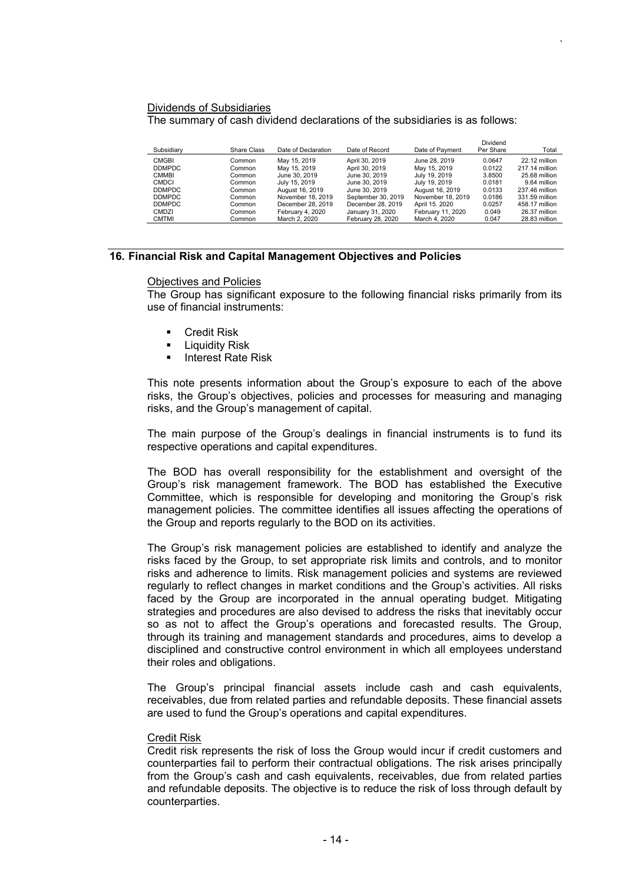#### Dividends of Subsidiaries The summary of cash dividend declarations of the subsidiaries is as follows:

| Subsidiarv    | Share Class | Date of Declaration | Date of Record     | Date of Payment   | Dividend<br>Per Share | Total          |
|---------------|-------------|---------------------|--------------------|-------------------|-----------------------|----------------|
| <b>CMGBI</b>  | Common      | May 15, 2019        | April 30, 2019     | June 28, 2019     | 0.0647                | 22.12 million  |
| <b>DDMPDC</b> | Common      | May 15, 2019        | April 30, 2019     | May 15, 2019      | 0.0122                | 217.14 million |
| <b>CMMBI</b>  | Common      | June 30, 2019       | June 30, 2019      | July 19, 2019     | 3.8500                | 25.68 million  |
| <b>CMDCI</b>  | Common      | July 15, 2019       | June 30, 2019      | July 19, 2019     | 0.0181                | 9.64 million   |
| <b>DDMPDC</b> | Common      | August 16, 2019     | June 30, 2019      | August 16, 2019   | 0.0133                | 237.46 million |
| <b>DDMPDC</b> | Common      | November 18, 2019   | September 30, 2019 | November 18, 2019 | 0.0186                | 331.59 million |
| <b>DDMPDC</b> | Common      | December 28, 2019   | December 28, 2019  | April 15, 2020    | 0.0257                | 458.17 million |
| <b>CMDZI</b>  | Common      | February 4, 2020    | January 31, 2020   | February 11, 2020 | 0.049                 | 26.37 million  |
| <b>CMTMI</b>  | Common      | March 2, 2020       | February 28, 2020  | March 4, 2020     | 0.047                 | 28.83 million  |

*`*

#### **16. Financial Risk and Capital Management Objectives and Policies**

#### Objectives and Policies

The Group has significant exposure to the following financial risks primarily from its use of financial instruments:

- **Credit Risk**
- **Liquidity Risk**
- **Interest Rate Risk**

This note presents information about the Group's exposure to each of the above risks, the Group's objectives, policies and processes for measuring and managing risks, and the Group's management of capital.

The main purpose of the Group's dealings in financial instruments is to fund its respective operations and capital expenditures.

The BOD has overall responsibility for the establishment and oversight of the Group's risk management framework. The BOD has established the Executive Committee, which is responsible for developing and monitoring the Group's risk management policies. The committee identifies all issues affecting the operations of the Group and reports regularly to the BOD on its activities.

The Group's risk management policies are established to identify and analyze the risks faced by the Group, to set appropriate risk limits and controls, and to monitor risks and adherence to limits. Risk management policies and systems are reviewed regularly to reflect changes in market conditions and the Group's activities. All risks faced by the Group are incorporated in the annual operating budget. Mitigating strategies and procedures are also devised to address the risks that inevitably occur so as not to affect the Group's operations and forecasted results. The Group, through its training and management standards and procedures, aims to develop a disciplined and constructive control environment in which all employees understand their roles and obligations.

The Group's principal financial assets include cash and cash equivalents, receivables, due from related parties and refundable deposits. These financial assets are used to fund the Group's operations and capital expenditures.

### Credit Risk

Credit risk represents the risk of loss the Group would incur if credit customers and counterparties fail to perform their contractual obligations. The risk arises principally from the Group's cash and cash equivalents, receivables, due from related parties and refundable deposits. The objective is to reduce the risk of loss through default by counterparties.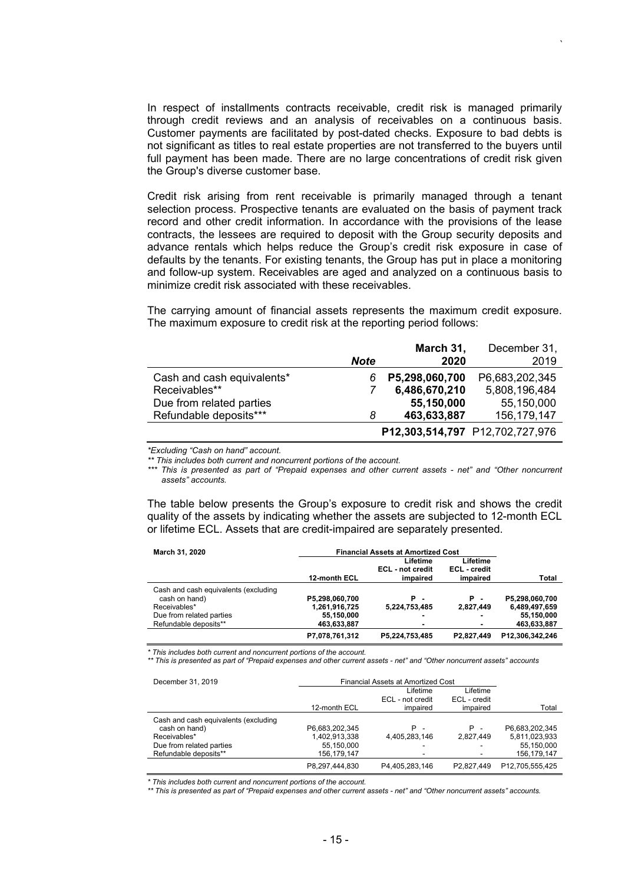In respect of installments contracts receivable, credit risk is managed primarily through credit reviews and an analysis of receivables on a continuous basis. Customer payments are facilitated by post-dated checks. Exposure to bad debts is not significant as titles to real estate properties are not transferred to the buyers until full payment has been made. There are no large concentrations of credit risk given the Group's diverse customer base.

*`*

Credit risk arising from rent receivable is primarily managed through a tenant selection process. Prospective tenants are evaluated on the basis of payment track record and other credit information. In accordance with the provisions of the lease contracts, the lessees are required to deposit with the Group security deposits and advance rentals which helps reduce the Group's credit risk exposure in case of defaults by the tenants. For existing tenants, the Group has put in place a monitoring and follow-up system. Receivables are aged and analyzed on a continuous basis to minimize credit risk associated with these receivables.

The carrying amount of financial assets represents the maximum credit exposure. The maximum exposure to credit risk at the reporting period follows:

|                            |             | March 31,      | December 31,                    |
|----------------------------|-------------|----------------|---------------------------------|
|                            | <b>Note</b> | 2020           | 2019                            |
| Cash and cash equivalents* | 6           | P5,298,060,700 | P6,683,202,345                  |
| Receivables**              |             | 6,486,670,210  | 5,808,196,484                   |
| Due from related parties   |             | 55,150,000     | 55,150,000                      |
| Refundable deposits***     | 8           | 463,633,887    | 156, 179, 147                   |
|                            |             |                | P12,303,514,797 P12,702,727,976 |

*\*Excluding "Cash on hand" account.*

*\*\* This includes both current and noncurrent portions of the account.*

*\*\*\* This is presented as part of "Prepaid expenses and other current assets - net" and "Other noncurrent assets" accounts.*

The table below presents the Group's exposure to credit risk and shows the credit quality of the assets by indicating whether the assets are subjected to 12-month ECL or lifetime ECL. Assets that are credit-impaired are separately presented.

| March 31, 2020                       | <b>Financial Assets at Amortized Cost</b> |                                          |                                      |                 |
|--------------------------------------|-------------------------------------------|------------------------------------------|--------------------------------------|-----------------|
|                                      | 12-month ECL                              | Lifetime<br>ECL - not credit<br>impaired | Lifetime<br>ECL - credit<br>impaired | Total           |
| Cash and cash equivalents (excluding |                                           |                                          |                                      |                 |
| cash on hand)                        | P5,298,060,700                            | Р.                                       | P.<br>$\overline{a}$                 | P5,298,060,700  |
| Receivables*                         | 1,261,916,725                             | 5,224,753,485                            | 2,827,449                            | 6,489,497,659   |
| Due from related parties             | 55,150,000                                | -                                        | $\blacksquare$                       | 55,150,000      |
| Refundable deposits**                | 463,633,887                               |                                          | ۰                                    | 463,633,887     |
|                                      | P7,078,761,312                            | P5,224,753,485                           | P2,827,449                           | P12,306,342,246 |

*\* This includes both current and noncurrent portions of the account.*

*\*\* This is presented as part of "Prepaid expenses and other current assets - net" and "Other noncurrent assets" accounts*

| December 31, 2019                    | Financial Assets at Amortized Cost |                  |              |                 |
|--------------------------------------|------------------------------------|------------------|--------------|-----------------|
|                                      |                                    | Lifetime         | Lifetime     |                 |
|                                      |                                    | ECL - not credit | ECL - credit |                 |
|                                      | 12-month ECL                       | impaired         | impaired     | Total           |
| Cash and cash equivalents (excluding |                                    |                  |              |                 |
| cash on hand)                        | P6.683.202.345                     | <b>P</b> -       | <b>P</b> -   | P6.683.202.345  |
| Receivables*                         | 1,402,913,338                      | 4.405.283.146    | 2.827.449    | 5,811,023,933   |
| Due from related parties             | 55,150,000                         |                  |              | 55,150,000      |
| Refundable deposits**                | 156.179.147                        |                  |              | 156.179.147     |
|                                      | P8.297.444.830                     | P4.405.283.146   | P2.827.449   | P12.705.555.425 |

*\* This includes both current and noncurrent portions of the account.*

*\*\* This is presented as part of "Prepaid expenses and other current assets - net" and "Other noncurrent assets" accounts.*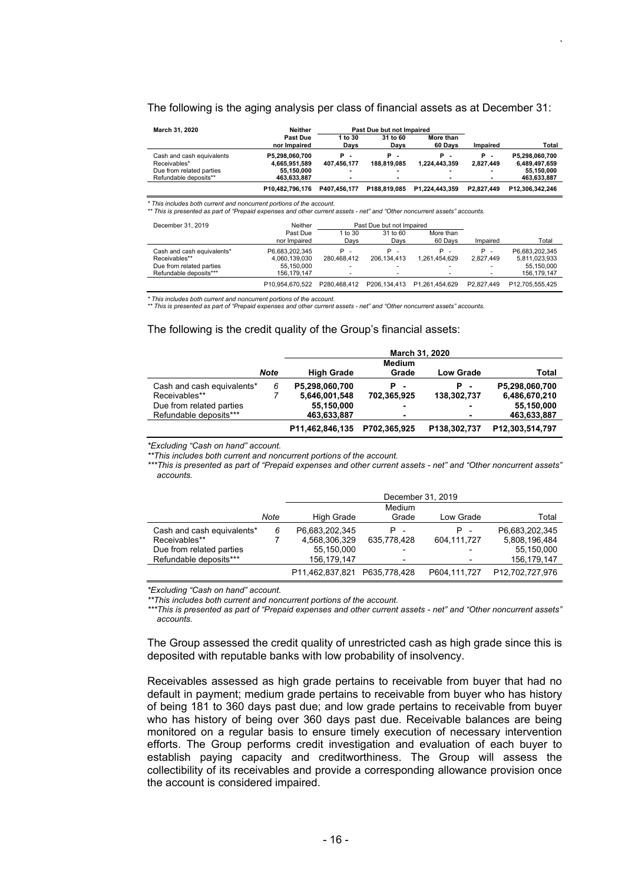#### The following is the aging analysis per class of financial assets as at December 31:

*`*

| March 31, 2020            | Neither                  |                 | Past Due but not Impaired     |                      |            |                 |
|---------------------------|--------------------------|-----------------|-------------------------------|----------------------|------------|-----------------|
|                           | Past Due<br>nor Impaired | 1 to 30<br>Davs | 31 to 60<br>Davs              | More than<br>60 Davs | Impaired   | Total           |
| Cash and cash equivalents | P5.298.060.700           | Р.              | P<br>$\overline{\phantom{0}}$ | Р.                   | Р.         | P5.298.060.700  |
| Receivables*              | 4.665.951.589            | 407.456.177     | 188.819.085                   | 1.224.443.359        | 2.827.449  | 6,489,497,659   |
| Due from related parties  | 55.150.000               |                 |                               |                      |            | 55.150.000      |
| Refundable deposits**     | 463.633.887              |                 |                               |                      |            | 463,633,887     |
|                           | P10.482.796.176          | P407.456.177    | P188.819.085                  | P1.224.443.359       | P2.827.449 | P12.306.342.246 |

\* This includes both current and noncurrent portions of the account.<br>\*\* This is presented as part of "Prepaid expenses and other current assets - net" and "Other noncurrent assets" accounts.

| December 31, 2019          | Neither                  |                 | Past Due but not Impaired |                      |            |                 |
|----------------------------|--------------------------|-----------------|---------------------------|----------------------|------------|-----------------|
|                            | Past Due<br>nor Impaired | 1 to 30<br>Davs | 31 to 60<br>Davs          | More than<br>60 Days | Impaired   | Total           |
| Cash and cash equivalents* | P6.683.202.345           | Р.              | Р.                        | Р.                   | Р.         | P6.683.202.345  |
| Receivables**              | 4.060.139.030            | 280.468.412     | 206.134.413               | 1.261.454.629        | 2.827.449  | 5,811,023,933   |
| Due from related parties   | 55.150.000               |                 |                           |                      |            | 55.150.000      |
| Refundable deposits***     | 156.179.147              | -               |                           |                      |            | 156.179.147     |
|                            | P10.954.670.522          | P280.468.412    | P206.134.413              | P1.261.454.629       | P2.827.449 | P12.705.555.425 |

\* This includes both current and noncurrent portions of the account.<br>\*\* This is presented as part of "Prepaid expenses and other current assets - net" and "Other noncurrent assets" accounts.

#### The following is the credit quality of the Group's financial assets:

|                            |      | March 31, 2020    |               |                  |                 |  |  |  |  |  |
|----------------------------|------|-------------------|---------------|------------------|-----------------|--|--|--|--|--|
|                            |      |                   | <b>Medium</b> |                  |                 |  |  |  |  |  |
|                            | Note | <b>High Grade</b> | Grade         | <b>Low Grade</b> | Total           |  |  |  |  |  |
| Cash and cash equivalents* | 6    | P5,298,060,700    | Р.            | <b>P</b> -       | P5,298,060,700  |  |  |  |  |  |
| Receivables**              |      | 5,646,001,548     | 702.365.925   | 138,302,737      | 6,486,670,210   |  |  |  |  |  |
| Due from related parties   |      | 55,150,000        |               |                  | 55,150,000      |  |  |  |  |  |
| Refundable deposits***     |      | 463,633,887       | ۰             |                  | 463,633,887     |  |  |  |  |  |
|                            |      | P11,462,846,135   | P702,365,925  | P138,302,737     | P12,303,514,797 |  |  |  |  |  |

*\*Excluding "Cash on hand" account.*

*\*\*This includes both current and noncurrent portions of the account.*

*\*\*\*This is presented as part of "Prepaid expenses and other current assets - net" and "Other noncurrent assets" accounts.*

|                            |      |                 | December 31, 2019        |              |                 |  |  |  |  |  |
|----------------------------|------|-----------------|--------------------------|--------------|-----------------|--|--|--|--|--|
|                            |      |                 | Medium                   |              |                 |  |  |  |  |  |
|                            | Note | High Grade      | Grade                    | Low Grade    | Total           |  |  |  |  |  |
| Cash and cash equivalents* | 6    | P6,683,202,345  | $P -$                    | $P -$        | P6.683.202.345  |  |  |  |  |  |
| Receivables**              |      | 4,568,306,329   | 635.778.428              | 604.111.727  | 5,808,196,484   |  |  |  |  |  |
| Due from related parties   |      | 55,150,000      | $\overline{\phantom{0}}$ |              | 55,150,000      |  |  |  |  |  |
| Refundable deposits***     |      | 156.179.147     |                          |              | 156.179.147     |  |  |  |  |  |
|                            |      | P11,462,837,821 | P635.778.428             | P604,111,727 | P12,702,727,976 |  |  |  |  |  |

*\*Excluding "Cash on hand" account.*

*\*\*This includes both current and noncurrent portions of the account.*

*\*\*\*This is presented as part of "Prepaid expenses and other current assets - net" and "Other noncurrent assets" accounts.*

The Group assessed the credit quality of unrestricted cash as high grade since this is deposited with reputable banks with low probability of insolvency.

Receivables assessed as high grade pertains to receivable from buyer that had no default in payment; medium grade pertains to receivable from buyer who has history of being 181 to 360 days past due; and low grade pertains to receivable from buyer who has history of being over 360 days past due. Receivable balances are being monitored on a regular basis to ensure timely execution of necessary intervention efforts. The Group performs credit investigation and evaluation of each buyer to establish paying capacity and creditworthiness. The Group will assess the collectibility of its receivables and provide a corresponding allowance provision once the account is considered impaired.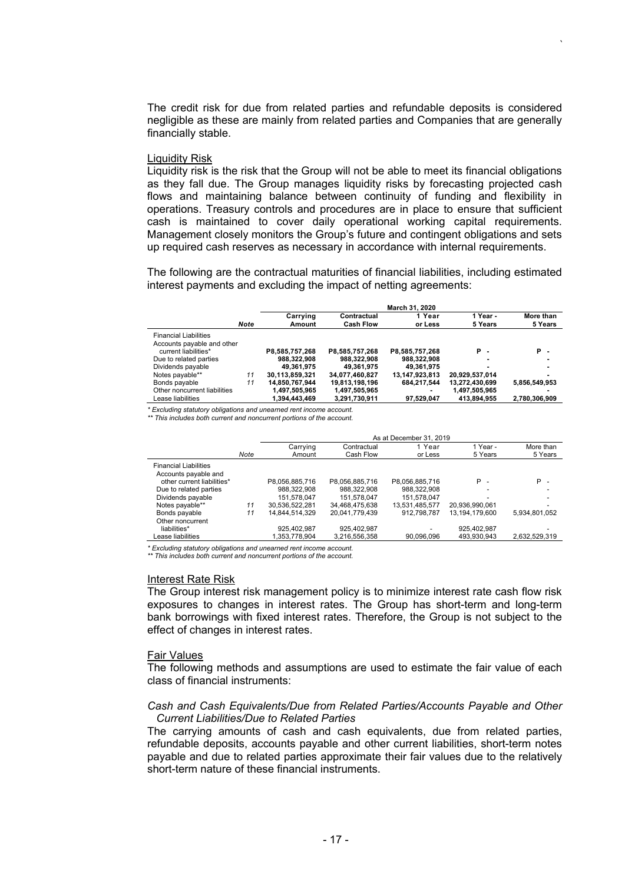The credit risk for due from related parties and refundable deposits is considered negligible as these are mainly from related parties and Companies that are generally financially stable.

*`* 

#### Liquidity Risk

Liquidity risk is the risk that the Group will not be able to meet its financial obligations as they fall due. The Group manages liquidity risks by forecasting projected cash flows and maintaining balance between continuity of funding and flexibility in operations. Treasury controls and procedures are in place to ensure that sufficient cash is maintained to cover daily operational working capital requirements. Management closely monitors the Group's future and contingent obligations and sets up required cash reserves as necessary in accordance with internal requirements.

The following are the contractual maturities of financial liabilities, including estimated interest payments and excluding the impact of netting agreements:

|                              |             |                    |                                 | March 31, 2020    |                     |                      |
|------------------------------|-------------|--------------------|---------------------------------|-------------------|---------------------|----------------------|
|                              | <b>Note</b> | Carrying<br>Amount | Contractual<br><b>Cash Flow</b> | 1 Year<br>or Less | 1 Year -<br>5 Years | More than<br>5 Years |
| <b>Financial Liabilities</b> |             |                    |                                 |                   |                     |                      |
| Accounts payable and other   |             |                    |                                 |                   |                     |                      |
| current liabilities*         |             | P8,585,757,268     | P8.585.757.268                  | P8.585.757.268    | <b>P</b> -          | <b>P</b> -           |
| Due to related parties       |             | 988.322.908        | 988.322.908                     | 988.322.908       |                     |                      |
| Dividends payable            |             | 49.361.975         | 49.361.975                      | 49.361.975        |                     |                      |
| Notes payable**              | 11          | 30.113.859.321     | 34.077.460.827                  | 13,147,923,813    | 20.929.537.014      |                      |
| Bonds payable                | 11          | 14.850.767.944     | 19,813,198,196                  | 684.217.544       | 13.272.430.699      | 5.856.549.953        |
| Other noncurrent liabilities |             | 1.497.505.965      | 1.497.505.965                   |                   | 1,497,505,965       |                      |
| Lease liabilities            |             | 1.394.443.469      | 3,291,730,911                   | 97.529.047        | 413.894.955         | 2.780.306.909        |

*\* Excluding statutory obligations and unearned rent income account.* 

*\*\* This includes both current and noncurrent portions of the account.*

|                              |      | As at December 31, 2019 |                |                |                |               |  |  |  |
|------------------------------|------|-------------------------|----------------|----------------|----------------|---------------|--|--|--|
|                              |      | Carrying                | Contractual    | 1 Year         | 1 Year -       | More than     |  |  |  |
|                              | Note | Amount                  | Cash Flow      | or Less        | 5 Years        | 5 Years       |  |  |  |
| <b>Financial Liabilities</b> |      |                         |                |                |                |               |  |  |  |
| Accounts payable and         |      |                         |                |                |                |               |  |  |  |
| other current liabilities*   |      | P8.056.885.716          | P8.056.885.716 | P8.056.885.716 | <b>P</b> -     | P -           |  |  |  |
| Due to related parties       |      | 988.322.908             | 988.322.908    | 988.322.908    |                |               |  |  |  |
| Dividends payable            |      | 151.578.047             | 151.578.047    | 151.578.047    |                |               |  |  |  |
| Notes payable**              | 11   | 30,536,522,281          | 34.468.475.638 | 13.531.485.577 | 20.936.990.061 |               |  |  |  |
| Bonds payable                | 11   | 14.844.514.329          | 20.041.779.439 | 912.798.787    | 13.194.179.600 | 5,934,801,052 |  |  |  |
| Other noncurrent             |      |                         |                |                |                |               |  |  |  |
| liabilities*                 |      | 925.402.987             | 925.402.987    |                | 925.402.987    |               |  |  |  |
| Lease liabilities            |      | 1.353.778.904           | 3.216.556.358  | 90.096.096     | 493.930.943    | 2.632.529.319 |  |  |  |

*\* Excluding statutory obligations and unearned rent income account.* 

*\*\* This includes both current and noncurrent portions of the account.*

#### Interest Rate Risk

The Group interest risk management policy is to minimize interest rate cash flow risk exposures to changes in interest rates. The Group has short-term and long-term bank borrowings with fixed interest rates. Therefore, the Group is not subject to the effect of changes in interest rates.

#### Fair Values

The following methods and assumptions are used to estimate the fair value of each class of financial instruments:

#### *Cash and Cash Equivalents/Due from Related Parties/Accounts Payable and Other Current Liabilities/Due to Related Parties*

The carrying amounts of cash and cash equivalents, due from related parties, refundable deposits, accounts payable and other current liabilities, short-term notes payable and due to related parties approximate their fair values due to the relatively short-term nature of these financial instruments.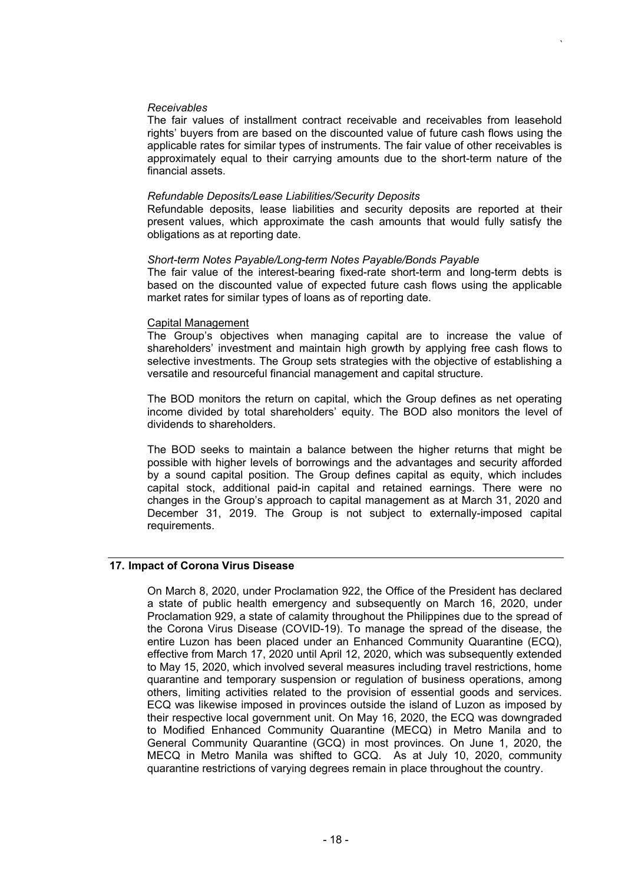#### *Receivables*

The fair values of installment contract receivable and receivables from leasehold rights' buyers from are based on the discounted value of future cash flows using the applicable rates for similar types of instruments. The fair value of other receivables is approximately equal to their carrying amounts due to the short-term nature of the financial assets.

*`*

#### *Refundable Deposits/Lease Liabilities/Security Deposits*

Refundable deposits, lease liabilities and security deposits are reported at their present values, which approximate the cash amounts that would fully satisfy the obligations as at reporting date.

#### *Short-term Notes Payable/Long-term Notes Payable/Bonds Payable*

The fair value of the interest-bearing fixed-rate short-term and long-term debts is based on the discounted value of expected future cash flows using the applicable market rates for similar types of loans as of reporting date.

#### Capital Management

The Group's objectives when managing capital are to increase the value of shareholders' investment and maintain high growth by applying free cash flows to selective investments. The Group sets strategies with the objective of establishing a versatile and resourceful financial management and capital structure.

The BOD monitors the return on capital, which the Group defines as net operating income divided by total shareholders' equity. The BOD also monitors the level of dividends to shareholders.

The BOD seeks to maintain a balance between the higher returns that might be possible with higher levels of borrowings and the advantages and security afforded by a sound capital position. The Group defines capital as equity, which includes capital stock, additional paid-in capital and retained earnings. There were no changes in the Group's approach to capital management as at March 31, 2020 and December 31, 2019. The Group is not subject to externally-imposed capital requirements.

## **17. Impact of Corona Virus Disease**

On March 8, 2020, under Proclamation 922, the Office of the President has declared a state of public health emergency and subsequently on March 16, 2020, under Proclamation 929, a state of calamity throughout the Philippines due to the spread of the Corona Virus Disease (COVID-19). To manage the spread of the disease, the entire Luzon has been placed under an Enhanced Community Quarantine (ECQ), effective from March 17, 2020 until April 12, 2020, which was subsequently extended to May 15, 2020, which involved several measures including travel restrictions, home quarantine and temporary suspension or regulation of business operations, among others, limiting activities related to the provision of essential goods and services. ECQ was likewise imposed in provinces outside the island of Luzon as imposed by their respective local government unit. On May 16, 2020, the ECQ was downgraded to Modified Enhanced Community Quarantine (MECQ) in Metro Manila and to General Community Quarantine (GCQ) in most provinces. On June 1, 2020, the MECQ in Metro Manila was shifted to GCQ. As at July 10, 2020, community quarantine restrictions of varying degrees remain in place throughout the country.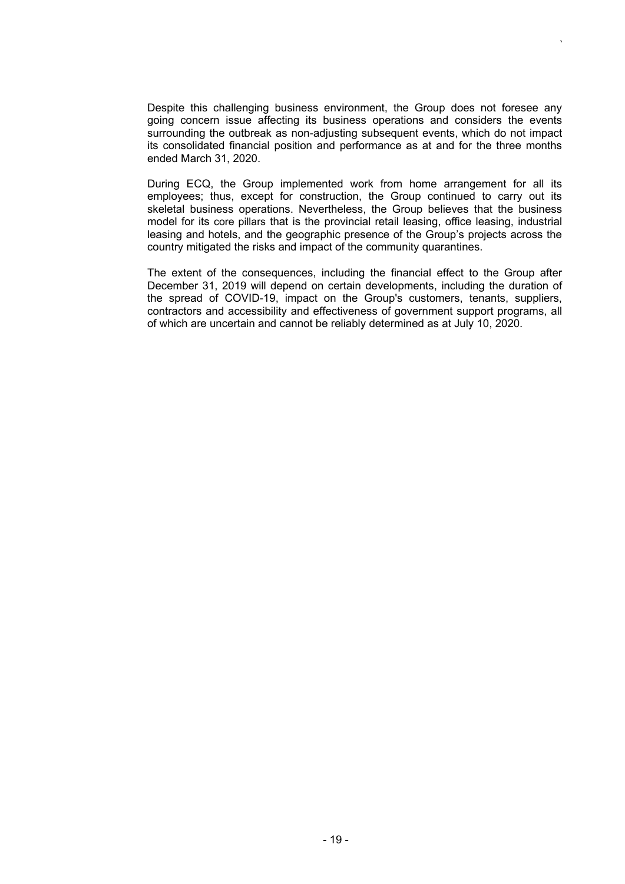Despite this challenging business environment, the Group does not foresee any going concern issue affecting its business operations and considers the events surrounding the outbreak as non-adjusting subsequent events, which do not impact its consolidated financial position and performance as at and for the three months ended March 31, 2020.

*`*

During ECQ, the Group implemented work from home arrangement for all its employees; thus, except for construction, the Group continued to carry out its skeletal business operations. Nevertheless, the Group believes that the business model for its core pillars that is the provincial retail leasing, office leasing, industrial leasing and hotels, and the geographic presence of the Group's projects across the country mitigated the risks and impact of the community quarantines.

The extent of the consequences, including the financial effect to the Group after December 31, 2019 will depend on certain developments, including the duration of the spread of COVID-19, impact on the Group's customers, tenants, suppliers, contractors and accessibility and effectiveness of government support programs, all of which are uncertain and cannot be reliably determined as at July 10, 2020.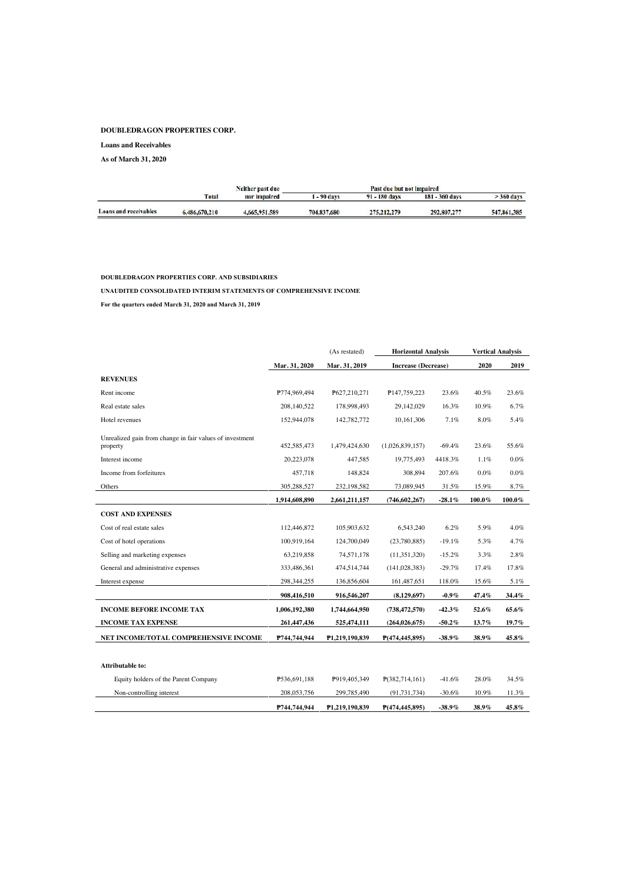#### **DOUBLEDRAGON PROPERTIES CORP.**

**Loans and Receivables**

**As of March 31, 2020**

|               | Neither past due |             | Past due but not impaired |                  |              |
|---------------|------------------|-------------|---------------------------|------------------|--------------|
| <b>Total</b>  | nor impaired     | $-90$ days  | 91 - 180 days             | $181 - 360$ days | $>$ 360 days |
| 6.486,670.210 | 4,665,951,589    | 704.837,680 | 275, 212, 279             | 292,807,277      | 547,861,385  |
|               |                  |             |                           |                  |              |

#### DOUBLEDRAGON PROPERTIES CORP. AND SUBSIDIARIES

UNAUDITED CONSOLIDATED INTERIM STATEMENTS OF COMPREHENSIVE INCOME

For the quarters ended March 31, 2020 and March 31, 2019

|                                                                      |               | (As restated)  | <b>Horizontal Analysis</b> |           |          | <b>Vertical Analysis</b> |
|----------------------------------------------------------------------|---------------|----------------|----------------------------|-----------|----------|--------------------------|
|                                                                      | Mar. 31, 2020 | Mar. 31, 2019  | <b>Increase (Decrease)</b> |           | 2020     | 2019                     |
| <b>REVENUES</b>                                                      |               |                |                            |           |          |                          |
| Rent income                                                          | P774,969,494  | P627,210,271   | P147,759,223               | 23.6%     | 40.5%    | 23.6%                    |
| Real estate sales                                                    | 208,140,522   | 178,998,493    | 29,142,029                 | 16.3%     | 10.9%    | 6.7%                     |
| Hotel revenues                                                       | 152,944,078   | 142,782,772    | 10.161.306                 | 7.1%      | 8.0%     | 5.4%                     |
| Unrealized gain from change in fair values of investment<br>property | 452,585,473   | 1,479,424,630  | (1,026,839,157)            | $-69.4%$  | 23.6%    | 55.6%                    |
| Interest income                                                      | 20,223,078    | 447.585        | 19.775.493                 | 4418.3%   | 1.1%     | $0.0\%$                  |
| Income from forfeitures                                              | 457,718       | 148,824        | 308,894                    | 207.6%    | 0.0%     | $0.0\%$                  |
| Others                                                               | 305,288,527   | 232,198,582    | 73,089,945                 | 31.5%     | 15.9%    | 8.7%                     |
|                                                                      | 1,914,608,890 | 2,661,211,157  | (746, 602, 267)            | $-28.1\%$ | 100.0%   | $100.0\%$                |
| <b>COST AND EXPENSES</b>                                             |               |                |                            |           |          |                          |
| Cost of real estate sales                                            | 112,446,872   | 105,903,632    | 6,543,240                  | 6.2%      | 5.9%     | 4.0%                     |
| Cost of hotel operations                                             | 100,919,164   | 124,700,049    | (23,780,885)               | $-19.1%$  | 5.3%     | 4.7%                     |
| Selling and marketing expenses                                       | 63,219,858    | 74,571,178     | (11,351,320)               | $-15.2%$  | 3.3%     | $2.8\%$                  |
| General and administrative expenses                                  | 333,486,361   | 474,514,744    | (141, 028, 383)            | $-29.7%$  | 17.4%    | 17.8%                    |
| Interest expense                                                     | 298, 344, 255 | 136,856,604    | 161,487,651                | 118.0%    | 15.6%    | 5.1%                     |
|                                                                      | 908,416,510   | 916,546,207    | (8,129,697)                | $-0.9\%$  | 47.4%    | 34.4%                    |
| <b>INCOME BEFORE INCOME TAX</b>                                      | 1,006,192,380 | 1,744,664,950  | (738, 472, 570)            | $-42.3%$  | 52.6%    | 65.6%                    |
| <b>INCOME TAX EXPENSE</b>                                            | 261,447,436   | 525,474,111    | (264, 026, 675)            | $-50.2\%$ | 13.7%    | 19.7%                    |
| NET INCOME/TOTAL COMPREHENSIVE INCOME                                | P744,744,944  | P1,219,190,839 | P(474, 445, 895)           | $-38.9\%$ | 38.9%    | 45.8%                    |
|                                                                      |               |                |                            |           |          |                          |
| Attributable to:                                                     |               |                |                            |           |          |                          |
| Equity holders of the Parent Company                                 | P536,691,188  | P919,405,349   | P(382,714,161)             | $-41.6%$  | 28.0%    | 34.5%                    |
| Non-controlling interest                                             | 208, 053, 756 | 299,785,490    | (91, 731, 734)             | $-30.6%$  | $10.9\%$ | 11.3%                    |
|                                                                      | P744,744,944  | P1,219,190,839 | P(474, 445, 895)           | $-38.9\%$ | 38.9%    | 45.8%                    |
|                                                                      |               |                |                            |           |          |                          |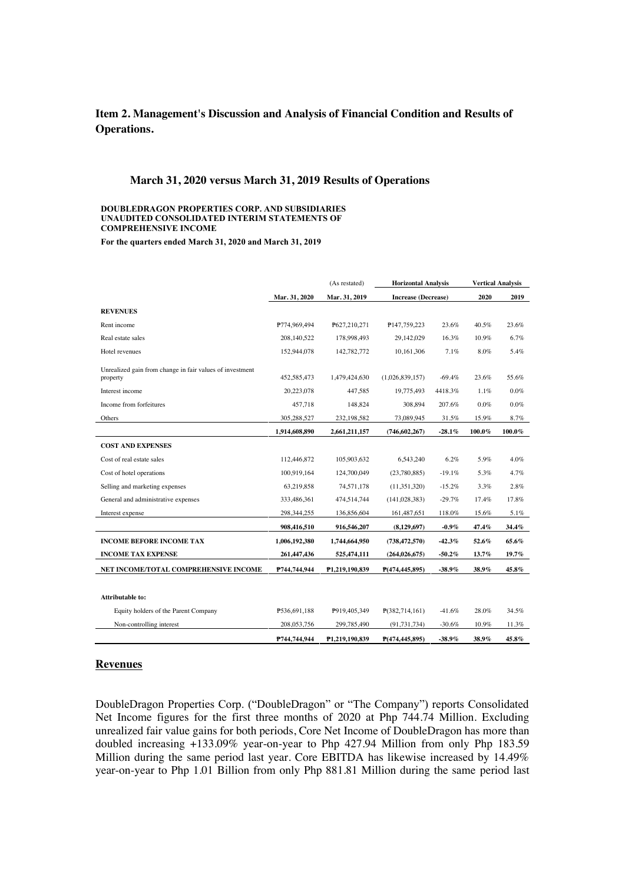## **Item 2. Management's Discussion and Analysis of Financial Condition and Results of Operations.**

#### **March 31, 2020 versus March 31, 2019 Results of Operations**

#### DOUBLEDRAGON PROPERTIES CORP. AND SUBSIDIARIES UNAUDITED CONSOLIDATED INTERIM STATEMENTS OF **COMPREHENSIVE INCOME**

For the quarters ended March 31, 2020 and March 31, 2019

|                                                                      |               | (As restated)  | <b>Horizontal Analysis</b> |           |        | <b>Vertical Analysis</b> |  |
|----------------------------------------------------------------------|---------------|----------------|----------------------------|-----------|--------|--------------------------|--|
|                                                                      | Mar. 31, 2020 | Mar. 31, 2019  | <b>Increase (Decrease)</b> |           | 2020   | 2019                     |  |
| <b>REVENUES</b>                                                      |               |                |                            |           |        |                          |  |
| Rent income                                                          | P774,969,494  | P627,210,271   | P147,759,223               | 23.6%     | 40.5%  | 23.6%                    |  |
| Real estate sales                                                    | 208,140,522   | 178.998.493    | 29.142.029                 | 16.3%     | 10.9%  | 6.7%                     |  |
| Hotel revenues                                                       | 152,944,078   | 142,782,772    | 10,161,306                 | 7.1%      | 8.0%   | 5.4%                     |  |
| Unrealized gain from change in fair values of investment<br>property | 452,585,473   | 1,479,424,630  | (1,026,839,157)            | $-69.4%$  | 23.6%  | 55.6%                    |  |
| Interest income                                                      | 20,223,078    | 447.585        | 19,775,493                 | 4418.3%   | 1.1%   | $0.0\%$                  |  |
| Income from forfeitures                                              | 457,718       | 148,824        | 308,894                    | 207.6%    | 0.0%   | $0.0\%$                  |  |
| Others                                                               | 305,288,527   | 232,198,582    | 73,089,945                 | 31.5%     | 15.9%  | 8.7%                     |  |
|                                                                      | 1,914,608,890 | 2,661,211,157  | (746, 602, 267)            | $-28.1\%$ | 100.0% | $100.0\%$                |  |
| <b>COST AND EXPENSES</b>                                             |               |                |                            |           |        |                          |  |
| Cost of real estate sales                                            | 112,446,872   | 105,903,632    | 6.543.240                  | 6.2%      | 5.9%   | 4.0%                     |  |
| Cost of hotel operations                                             | 100,919,164   | 124,700,049    | (23,780,885)               | $-19.1%$  | 5.3%   | 4.7%                     |  |
| Selling and marketing expenses                                       | 63.219.858    | 74.571.178     | (11.351.320)               | $-15.2%$  | 3.3%   | 2.8%                     |  |
| General and administrative expenses                                  | 333,486,361   | 474,514,744    | (141, 028, 383)            | $-29.7%$  | 17.4%  | 17.8%                    |  |
| Interest expense                                                     | 298, 344, 255 | 136,856,604    | 161,487,651                | 118.0%    | 15.6%  | 5.1%                     |  |
|                                                                      | 908,416,510   | 916,546,207    | (8,129,697)                | $-0.9\%$  | 47.4%  | 34.4%                    |  |
| <b>INCOME BEFORE INCOME TAX</b>                                      | 1,006,192,380 | 1,744,664,950  | (738, 472, 570)            | $-42.3%$  | 52.6%  | 65.6%                    |  |
| <b>INCOME TAX EXPENSE</b>                                            | 261,447,436   | 525,474,111    | (264, 026, 675)            | $-50.2\%$ | 13.7%  | 19.7%                    |  |
| NET INCOME/TOTAL COMPREHENSIVE INCOME                                | P744,744,944  | P1,219,190,839 | P(474, 445, 895)           | $-38.9%$  | 38.9%  | 45.8%                    |  |
|                                                                      |               |                |                            |           |        |                          |  |
| <b>Attributable to:</b>                                              |               |                |                            |           |        |                          |  |
| Equity holders of the Parent Company                                 | P536,691,188  | P919,405,349   | P(382,714,161)             | $-41.6%$  | 28.0%  | 34.5%                    |  |
| Non-controlling interest                                             | 208, 053, 756 | 299,785,490    | (91, 731, 734)             | $-30.6%$  | 10.9%  | 11.3%                    |  |
|                                                                      | P744,744,944  | P1,219,190,839 | P(474,445,895)             | $-38.9%$  | 38.9%  | 45.8%                    |  |

#### **Revenues**

DoubleDragon Properties Corp. ("DoubleDragon" or "The Company") reports Consolidated Net Income figures for the first three months of 2020 at Php 744.74 Million. Excluding unrealized fair value gains for both periods, Core Net Income of DoubleDragon has more than doubled increasing +133.09% year-on-year to Php 427.94 Million from only Php 183.59 Million during the same period last year. Core EBITDA has likewise increased by 14.49% year-on-year to Php 1.01 Billion from only Php 881.81 Million during the same period last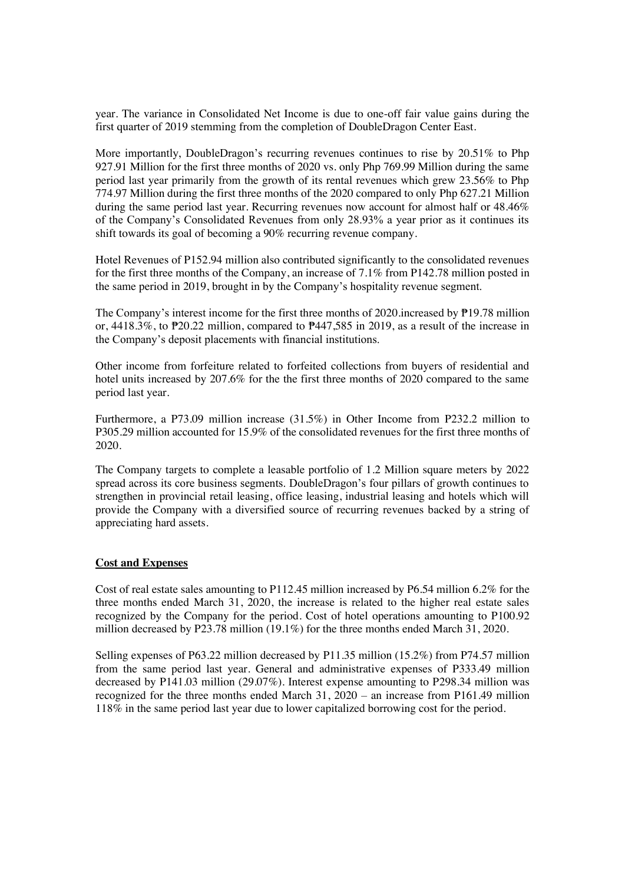year. The variance in Consolidated Net Income is due to one-off fair value gains during the first quarter of 2019 stemming from the completion of DoubleDragon Center East.

More importantly, DoubleDragon's recurring revenues continues to rise by  $20.51\%$  to Php 927.91 Million for the first three months of 2020 vs. only Php 769.99 Million during the same period last year primarily from the growth of its rental revenues which grew 23.56% to Php 774.97 Million during the first three months of the 2020 compared to only Php 627.21 Million during the same period last year. Recurring revenues now account for almost half or 48.46% of the Company's Consolidated Revenues from only 28.93% a year prior as it continues its shift towards its goal of becoming a 90% recurring revenue company.

Hotel Revenues of P152.94 million also contributed significantly to the consolidated revenues for the first three months of the Company, an increase of 7.1% from P142.78 million posted in the same period in 2019, brought in by the Company's hospitality revenue segment.

The Company's interest income for the first three months of 2020.increased by  $\overline{P}$ 19.78 million or,  $4418.3\%$ , to  $P20.22$  million, compared to  $P447,585$  in 2019, as a result of the increase in the Company's deposit placements with financial institutions.

Other income from forfeiture related to forfeited collections from buyers of residential and hotel units increased by 207.6% for the the first three months of 2020 compared to the same period last year.

Furthermore, a P73.09 million increase (31.5%) in Other Income from P232.2 million to P305.29 million accounted for 15.9% of the consolidated revenues for the first three months of 2020.

The Company targets to complete a leasable portfolio of 1.2 Million square meters by 2022 spread across its core business segments. Double Dragon's four pillars of growth continues to strengthen in provincial retail leasing, office leasing, industrial leasing and hotels which will provide the Company with a diversified source of recurring revenues backed by a string of appreciating hard assets.

#### **Cost and Expenses**

Cost of real estate sales amounting to P112.45 million increased by P6.54 million 6.2% for the three months ended March 31, 2020, the increase is related to the higher real estate sales recognized by the Company for the period. Cost of hotel operations amounting to P100.92 million decreased by P23.78 million (19.1%) for the three months ended March 31, 2020.

Selling expenses of P63.22 million decreased by P11.35 million (15.2%) from P74.57 million from the same period last year. General and administrative expenses of P333.49 million decreased by P141.03 million (29.07%). Interest expense amounting to P298.34 million was recognized for the three months ended March 31,  $2020 -$  an increase from P161.49 million 118% in the same period last year due to lower capitalized borrowing cost for the period.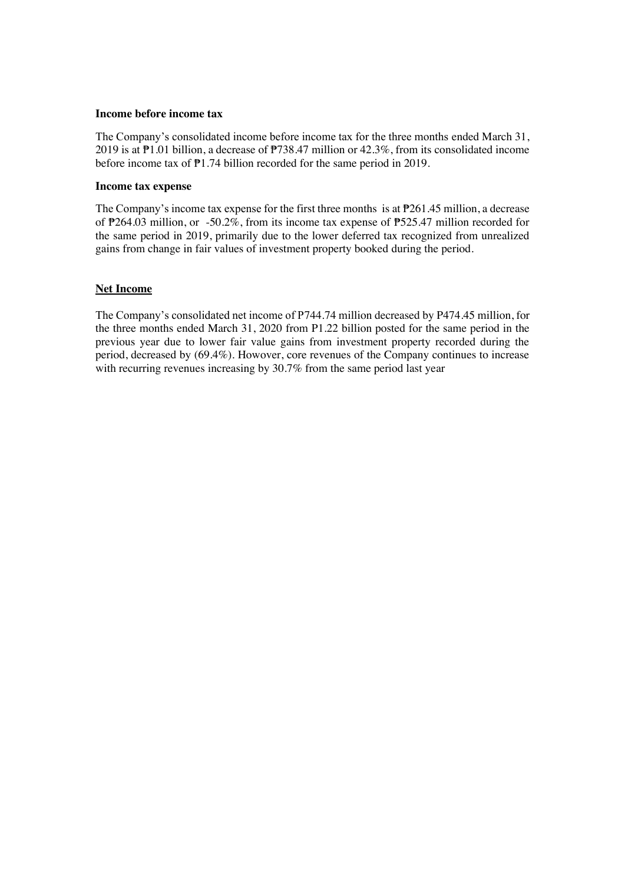#### **Income before income tax**

The Company's consolidated income before income tax for the three months ended March 31, 2019 is at  $\overline{P1.01}$  billion, a decrease of  $\overline{P738.47}$  million or 42.3%, from its consolidated income before income tax of  $\overline{P}1.74$  billion recorded for the same period in 2019.

### **Income tax expense**

The Company's income tax expense for the first three months is at  $P261.45$  million, a decrease of  $\overline{P}264.03$  million, or -50.2%, from its income tax expense of  $\overline{P}525.47$  million recorded for the same period in 2019, primarily due to the lower deferred tax recognized from unrealized gains from change in fair values of investment property booked during the period.

### **Net Income**

The Company's consolidated net income of P744.74 million decreased by P474.45 million, for the three months ended March 31, 2020 from P1.22 billion posted for the same period in the previous year due to lower fair value gains from investment property recorded during the period, decreased by (69.4%). Howover, core revenues of the Company continues to increase with recurring revenues increasing by 30.7% from the same period last year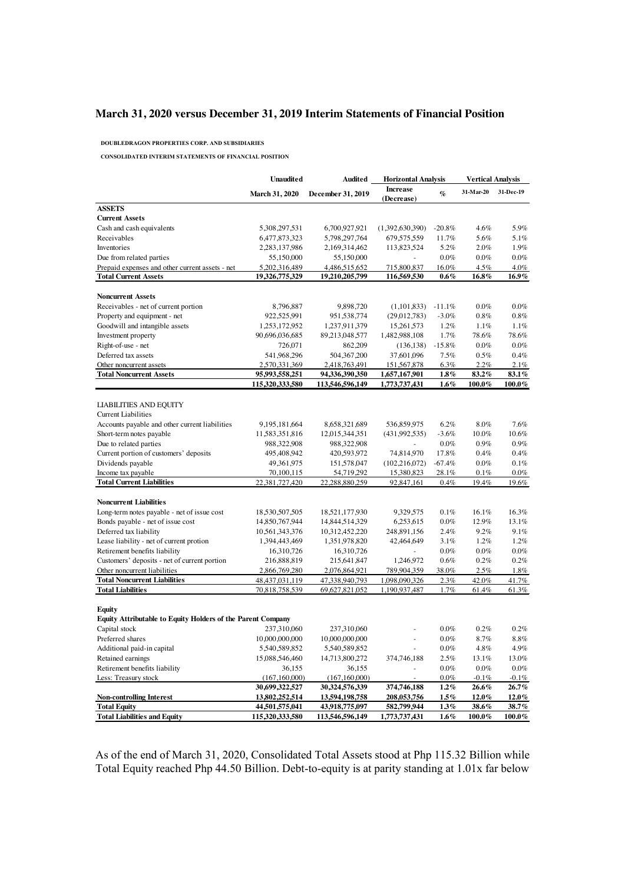## **March 31, 2020 versus December 31, 2019 Interim Statements of Financial Position**

DOUBLEDRAGON PROPERTIES CORP. AND SUBSIDIARIES

CONSOLIDATED INTERIM STATEMENTS OF FINANCIAL POSITION

|                                                                    | <b>Unaudited</b>      | Audited           | <b>Horizontal Analysis</b>    |                 | <b>Vertical Analysis</b> |           |
|--------------------------------------------------------------------|-----------------------|-------------------|-------------------------------|-----------------|--------------------------|-----------|
|                                                                    | <b>March 31, 2020</b> | December 31, 2019 | <b>Increase</b><br>(Decrease) | $\mathcal{G}_0$ | 31-Mar-20                | 31-Dec-19 |
| <b>ASSETS</b>                                                      |                       |                   |                               |                 |                          |           |
| <b>Current Assets</b>                                              |                       |                   |                               |                 |                          |           |
| Cash and cash equivalents                                          | 5,308,297,531         | 6,700,927,921     | (1,392,630,390)               | $-20.8%$        | 4.6%                     | 5.9%      |
| Receivables                                                        | 6,477,873,323         | 5,798,297,764     | 679,575,559                   | 11.7%           | 5.6%                     | 5.1%      |
| Inventories                                                        | 2,283,137,986         | 2,169,314,462     | 113,823,524                   | 5.2%            | 2.0%                     | 1.9%      |
| Due from related parties                                           | 55,150,000            | 55,150,000        |                               | $0.0\%$         | $0.0\%$                  | $0.0\%$   |
| Prepaid expenses and other current assets - net                    | 5,202,316,489         | 4,486,515,652     | 715,800,837                   | 16.0%           | 4.5%                     | 4.0%      |
| <b>Total Current Assets</b>                                        | 19,326,775,329        | 19,210,205,799    | 116,569,530                   | $0.6\%$         | 16.8%                    | 16.9%     |
|                                                                    |                       |                   |                               |                 |                          |           |
| <b>Noncurrent Assets</b>                                           |                       |                   |                               |                 |                          |           |
| Receivables - net of current portion                               | 8,796,887             | 9,898,720         | (1,101,833)                   | $-11.1%$        | $0.0\%$                  | 0.0%      |
| Property and equipment - net                                       | 922,525,991           | 951, 538, 774     | (29,012,783)                  | $-3.0%$         | $0.8\%$                  | 0.8%      |
| Goodwill and intangible assets                                     | 1,253,172,952         | 1,237,911,379     | 15,261,573                    | 1.2%            | 1.1%                     | 1.1%      |
| Investment property                                                | 90,696,036,685        | 89,213,048,577    | 1,482,988,108                 | 1.7%            | 78.6%                    | 78.6%     |
| Right-of-use - net                                                 | 726,071               | 862,209           | (136, 138)                    | $-15.8%$        | $0.0\%$                  | 0.0%      |
| Deferred tax assets                                                | 541,968,296           | 504, 367, 200     | 37,601,096                    | 7.5%            | 0.5%                     | 0.4%      |
| Other noncurrent assets                                            | 2,570,331,369         | 2,418,763,491     | 151,567,878                   | 6.3%            | 2.2%                     | 2.1%      |
| <b>Total Noncurrent Assets</b>                                     | 95,993,558,251        | 94,336,390,350    | 1,657,167,901                 | $1.8\%$         | 83.2%                    | 83.1%     |
|                                                                    | 115,320,333,580       | 113,546,596,149   | 1,773,737,431                 | $1.6\%$         | $100.0\%$                | 100.0%    |
|                                                                    |                       |                   |                               |                 |                          |           |
| <b>LIABILITIES AND EQUITY</b>                                      |                       |                   |                               |                 |                          |           |
| <b>Current Liabilities</b>                                         |                       |                   |                               |                 |                          |           |
| Accounts payable and other current liabilities                     | 9, 195, 181, 664      | 8,658,321,689     | 536,859,975                   | 6.2%            | 8.0%                     | 7.6%      |
| Short-term notes payable                                           | 11,583,351,816        | 12,015,344,351    | (431,992,535)                 | $-3.6%$         | 10.0%                    | 10.6%     |
| Due to related parties                                             | 988,322,908           | 988,322,908       |                               | $0.0\%$         | 0.9%                     | 0.9%      |
| Current portion of customers' deposits                             | 495,408,942           | 420,593,972       | 74,814,970                    | 17.8%           | 0.4%                     | 0.4%      |
| Dividends payable                                                  | 49,361,975            | 151,578,047       | (102, 216, 072)               | $-67.4%$        | $0.0\%$                  | 0.1%      |
| Income tax payable                                                 | 70,100,115            | 54,719,292        | 15,380,823                    | 28.1%           | 0.1%                     | $0.0\%$   |
| <b>Total Current Liabilities</b>                                   | 22,381,727,420        | 22,288,880,259    | 92,847,161                    | 0.4%            | 19.4%                    | 19.6%     |
|                                                                    |                       |                   |                               |                 |                          |           |
| <b>Noncurrent Liabilities</b>                                      |                       |                   |                               |                 |                          |           |
| Long-term notes payable - net of issue cost                        | 18,530,507,505        | 18,521,177,930    | 9,329,575                     | 0.1%            | 16.1%                    | 16.3%     |
| Bonds payable - net of issue cost                                  | 14,850,767,944        | 14,844,514,329    | 6,253,615                     | $0.0\%$         | 12.9%                    | 13.1%     |
| Deferred tax liability                                             | 10,561,343,376        | 10,312,452,220    | 248,891,156                   | 2.4%            | 9.2%                     | 9.1%      |
| Lease liability - net of current protion                           | 1,394,443,469         | 1,351,978,820     | 42,464,649                    | 3.1%            | 1.2%                     | 1.2%      |
| Retirement benefits liability                                      | 16,310,726            | 16,310,726        |                               | 0.0%            | $0.0\%$                  | $0.0\%$   |
| Customers' deposits - net of current portion                       | 216,888,819           | 215,641,847       | 1,246,972                     | $0.6\%$         | 0.2%                     | 0.2%      |
| Other noncurrent liabilities                                       | 2,866,769,280         | 2,076,864,921     | 789,904,359                   | 38.0%           | 2.5%                     | 1.8%      |
| <b>Total Noncurrent Liabilities</b>                                | 48, 437, 031, 119     | 47,338,940,793    | 1,098,090,326                 | 2.3%            | 42.0%                    | 41.7%     |
| <b>Total Liabilities</b>                                           | 70,818,758,539        | 69,627,821,052    | 1,190,937,487                 | 1.7%            | 61.4%                    | 61.3%     |
|                                                                    |                       |                   |                               |                 |                          |           |
| Equity                                                             |                       |                   |                               |                 |                          |           |
| <b>Equity Attributable to Equity Holders of the Parent Company</b> |                       |                   |                               |                 |                          |           |
| Capital stock                                                      | 237,310,060           | 237,310,060       |                               | $0.0\%$         | 0.2%                     | 0.2%      |
| Preferred shares                                                   | 10,000,000,000        | 10,000,000,000    | L                             | 0.0%            | 8.7%                     | 8.8%      |
| Additional paid-in capital                                         | 5,540,589,852         | 5,540,589,852     |                               | $0.0\%$         | 4.8%                     | 4.9%      |
| Retained earnings                                                  | 15,088,546,460        | 14,713,800,272    | 374,746,188                   | 2.5%            | 13.1%                    | 13.0%     |
| Retirement benefits liability                                      | 36,155                | 36,155            |                               | $0.0\%$         | $0.0\%$                  | 0.0%      |
| Less: Treasury stock                                               | (167, 160, 000)       | (167, 160, 000)   |                               | $0.0\%$         | $-0.1%$                  | $-0.1\%$  |
|                                                                    | 30,699,322,527        | 30,324,576,339    | 374,746,188                   | 1.2%            | $26.6\%$                 | 26.7%     |
| <b>Non-controlling Interest</b>                                    | 13,802,252,514        | 13,594,198,758    | 208,053,756                   | 1.5%            | 12.0%                    | 12.0%     |
| <b>Total Equity</b>                                                | 44,501,575,041        | 43,918,775,097    | 582,799,944                   | 1.3%            | 38.6%                    | 38.7%     |
| <b>Total Liabilities and Equity</b>                                | 115,320,333,580       | 113,546,596,149   | 1,773,737,431                 | $1.6\%$         | 100.0%                   | $100.0\%$ |

As of the end of March 31, 2020, Consolidated Total Assets stood at Php 115.32 Billion while Total Equity reached Php 44.50 Billion. Debt-to-equity is at parity standing at 1.01x far below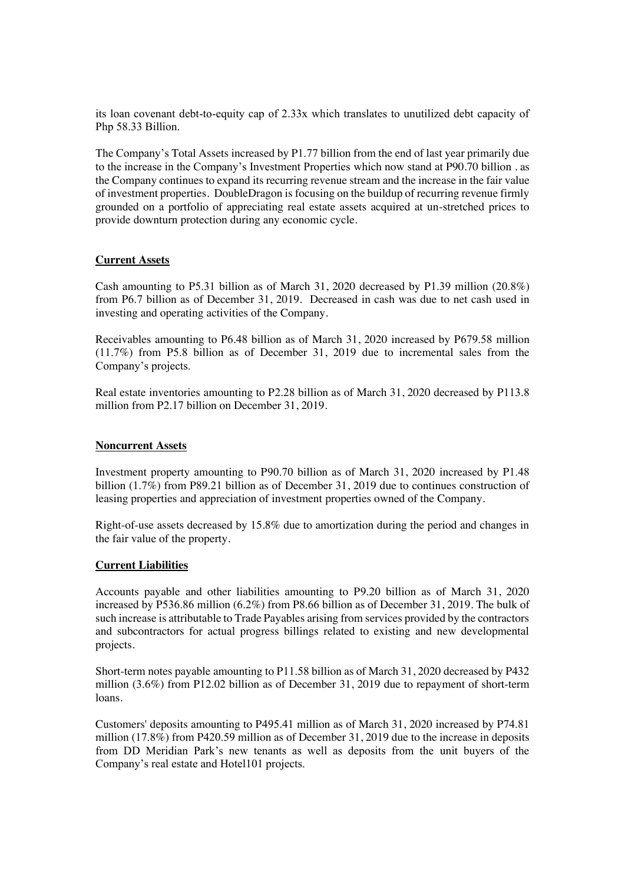its loan covenant debt-to-equity cap of 2.33x which translates to unutilized debt capacity of Php 58.33 Billion.

The Company's Total Assets increased by  $P1.77$  billion from the end of last year primarily due to the increase in the Company's Investment Properties which now stand at P90.70 billion . as the Company continues to expand its recurring revenue stream and the increase in the fair value of investment properties. DoubleDragon is focusing on the buildup of recurring revenue firmly grounded on a portfolio of appreciating real estate assets acquired at un-stretched prices to provide downturn protection during any economic cycle.

#### **Current Assets**

Cash amounting to P5.31 billion as of March 31, 2020 decreased by P1.39 million  $(20.8\%)$ from P6.7 billion as of December 31, 2019. Decreased in cash was due to net cash used in investing and operating activities of the Company.

Receivables amounting to P6.48 billion as of March 31, 2020 increased by P679.58 million  $(11.7%)$  from P5.8 billion as of December 31, 2019 due to incremental sales from the Company's projects.

Real estate inventories amounting to  $P2.28$  billion as of March 31, 2020 decreased by  $P113.8$ million from P2.17 billion on December 31, 2019.

#### **Noncurrent Assets**

Investment property amounting to  $P90.70$  billion as of March 31, 2020 increased by P1.48 billion  $(1.7\%)$  from P89.21 billion as of December 31, 2019 due to continues construction of leasing properties and appreciation of investment properties owned of the Company.

Right-of-use assets decreased by 15.8% due to amortization during the period and changes in the fair value of the property.

#### **Current Liabilities**

Accounts payable and other liabilities amounting to P9.20 billion as of March 31, 2020 increased by P536.86 million (6.2%) from P8.66 billion as of December 31, 2019. The bulk of such increase is attributable to Trade Payables arising from services provided by the contractors and subcontractors for actual progress billings related to existing and new developmental projects.

Short-term notes payable amounting to P11.58 billion as of March 31, 2020 decreased by P432 million  $(3.6\%)$  from P12.02 billion as of December 31, 2019 due to repayment of short-term loans.

Customers' deposits amounting to P495.41 million as of March 31, 2020 increased by P74.81 million (17.8%) from P420.59 million as of December 31, 2019 due to the increase in deposits from DD Meridian Park's new tenants as well as deposits from the unit buyers of the Company's real estate and Hotel101 projects.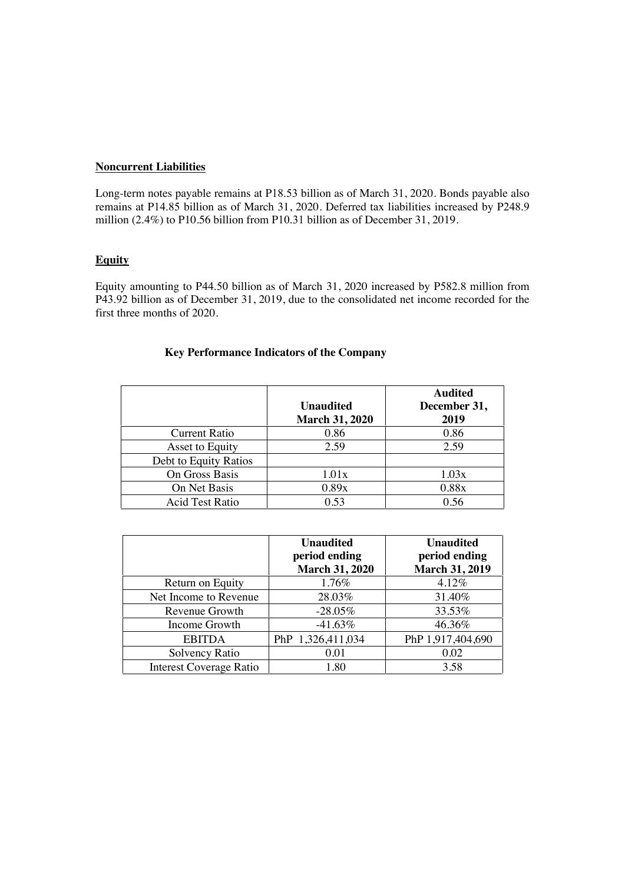### **Noncurrent Liabilities**

Long-term notes payable remains at P18.53 billion as of March 31, 2020. Bonds payable also remains at P14.85 billion as of March 31, 2020. Deferred tax liabilities increased by P248.9 million  $(2.4\%)$  to P10.56 billion from P10.31 billion as of December 31, 2019.

## **Equity**

Equity amounting to P44.50 billion as of March 31, 2020 increased by P582.8 million from P43.92 billion as of December 31, 2019, due to the consolidated net income recorded for the first three months of 2020.

|                        | <b>Unaudited</b><br><b>March 31, 2020</b> | <b>Audited</b><br>December 31,<br>2019 |
|------------------------|-------------------------------------------|----------------------------------------|
| <b>Current Ratio</b>   | 0.86                                      | 0.86                                   |
| Asset to Equity        | 2.59                                      | 2.59                                   |
| Debt to Equity Ratios  |                                           |                                        |
| On Gross Basis         | 1.01x                                     | 1.03x                                  |
| On Net Basis           | 0.89x                                     | 0.88x                                  |
| <b>Acid Test Ratio</b> | 0.53                                      | 0.56                                   |

|                                | <b>Unaudited</b><br>period ending<br><b>March 31, 2020</b> | <b>Unaudited</b><br>period ending<br><b>March 31, 2019</b> |
|--------------------------------|------------------------------------------------------------|------------------------------------------------------------|
| Return on Equity               | 1.76%                                                      | 4.12%                                                      |
| Net Income to Revenue          | 28.03%                                                     | 31.40%                                                     |
| Revenue Growth                 | $-28.05\%$                                                 | 33.53%                                                     |
| Income Growth                  | $-41.63%$                                                  | 46.36%                                                     |
| <b>EBITDA</b>                  | PhP 1,326,411,034                                          | PhP 1,917,404,690                                          |
| Solvency Ratio                 | 0.01                                                       | 0.02                                                       |
| <b>Interest Coverage Ratio</b> | 1.80                                                       | 3.58                                                       |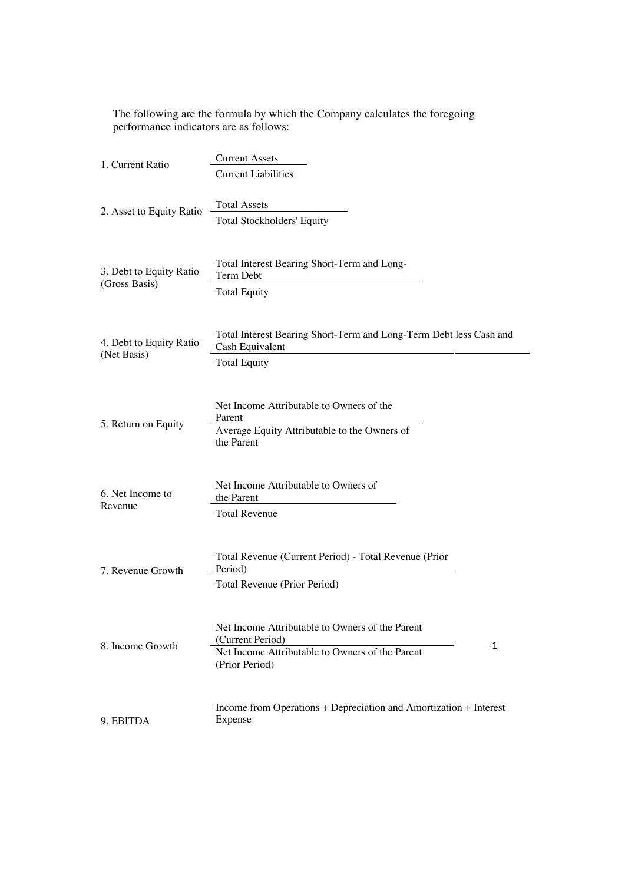The following are the formula by which the Company calculates the foregoing performance indicators are as follows:

| 1. Current Ratio                         | <b>Current Assets</b>                                                                                                                            |
|------------------------------------------|--------------------------------------------------------------------------------------------------------------------------------------------------|
|                                          | <b>Current Liabilities</b>                                                                                                                       |
| 2. Asset to Equity Ratio                 | <b>Total Assets</b><br>Total Stockholders' Equity                                                                                                |
| 3. Debt to Equity Ratio<br>(Gross Basis) | Total Interest Bearing Short-Term and Long-<br>Term Debt<br><b>Total Equity</b>                                                                  |
| 4. Debt to Equity Ratio<br>(Net Basis)   | Total Interest Bearing Short-Term and Long-Term Debt less Cash and<br>Cash Equivalent<br><b>Total Equity</b>                                     |
| 5. Return on Equity                      | Net Income Attributable to Owners of the<br>Parent<br>Average Equity Attributable to the Owners of<br>the Parent                                 |
| 6. Net Income to<br>Revenue              | Net Income Attributable to Owners of<br>the Parent<br><b>Total Revenue</b>                                                                       |
| 7. Revenue Growth                        | Total Revenue (Current Period) - Total Revenue (Prior<br>Period)<br>Total Revenue (Prior Period)                                                 |
| 8. Income Growth                         | Net Income Attributable to Owners of the Parent<br>(Current Period)<br>$-1$<br>Net Income Attributable to Owners of the Parent<br>(Prior Period) |
| 9. EBITDA                                | Income from Operations + Depreciation and Amortization + Interest<br>Expense                                                                     |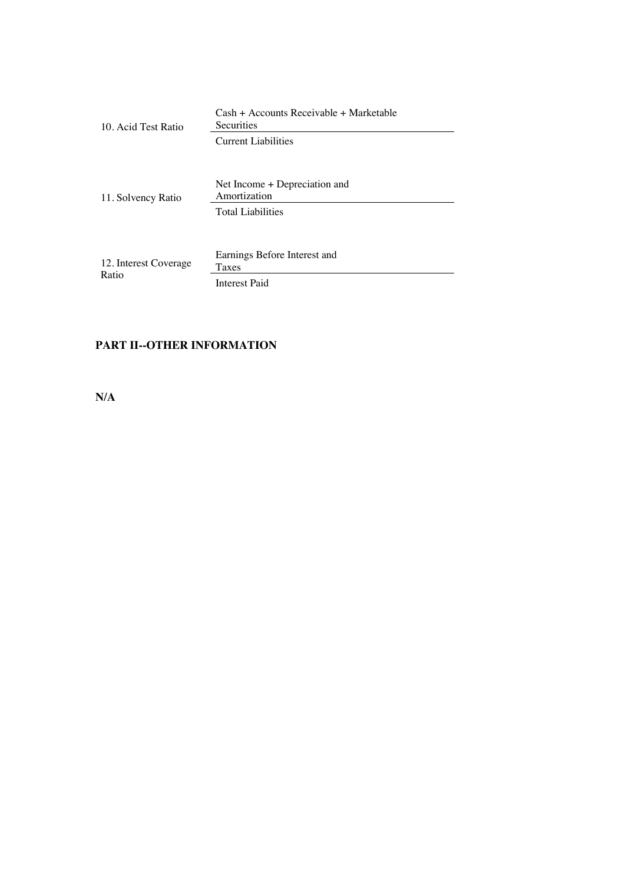| 10. Acid Test Ratio            | Cash + Accounts Receivable + Marketable<br><b>Securities</b>              |  |
|--------------------------------|---------------------------------------------------------------------------|--|
|                                | Current Liabilities                                                       |  |
| 11. Solvency Ratio             | Net Income + Depreciation and<br>Amortization<br><b>Total Liabilities</b> |  |
| 12. Interest Coverage<br>Ratio | Earnings Before Interest and<br>Taxes<br>Interest Paid                    |  |

# **PART II--OTHER INFORMATION**

**N/A**